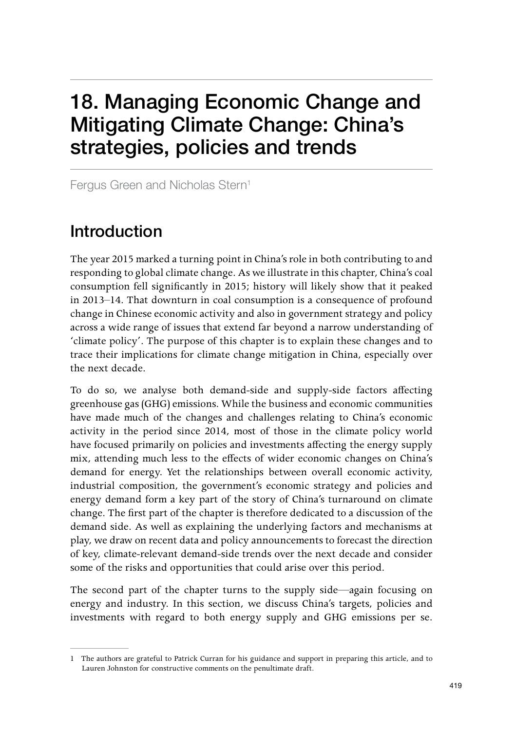# 18. Managing Economic Change and Mitigating Climate Change: China's strategies, policies and trends

Fergus Green and Nicholas Stern<sup>1</sup>

## Introduction

The year 2015 marked a turning point in China's role in both contributing to and responding to global climate change. As we illustrate in this chapter, China's coal consumption fell significantly in 2015; history will likely show that it peaked in 2013–14. That downturn in coal consumption is a consequence of profound change in Chinese economic activity and also in government strategy and policy across a wide range of issues that extend far beyond a narrow understanding of 'climate policy'. The purpose of this chapter is to explain these changes and to trace their implications for climate change mitigation in China, especially over the next decade.

To do so, we analyse both demand-side and supply-side factors affecting greenhouse gas (GHG) emissions. While the business and economic communities have made much of the changes and challenges relating to China's economic activity in the period since 2014, most of those in the climate policy world have focused primarily on policies and investments affecting the energy supply mix, attending much less to the effects of wider economic changes on China's demand for energy. Yet the relationships between overall economic activity, industrial composition, the government's economic strategy and policies and energy demand form a key part of the story of China's turnaround on climate change. The first part of the chapter is therefore dedicated to a discussion of the demand side. As well as explaining the underlying factors and mechanisms at play, we draw on recent data and policy announcements to forecast the direction of key, climate-relevant demand-side trends over the next decade and consider some of the risks and opportunities that could arise over this period.

The second part of the chapter turns to the supply side—again focusing on energy and industry. In this section, we discuss China's targets, policies and investments with regard to both energy supply and GHG emissions per se.

<sup>1</sup> The authors are grateful to Patrick Curran for his guidance and support in preparing this article, and to Lauren Johnston for constructive comments on the penultimate draft.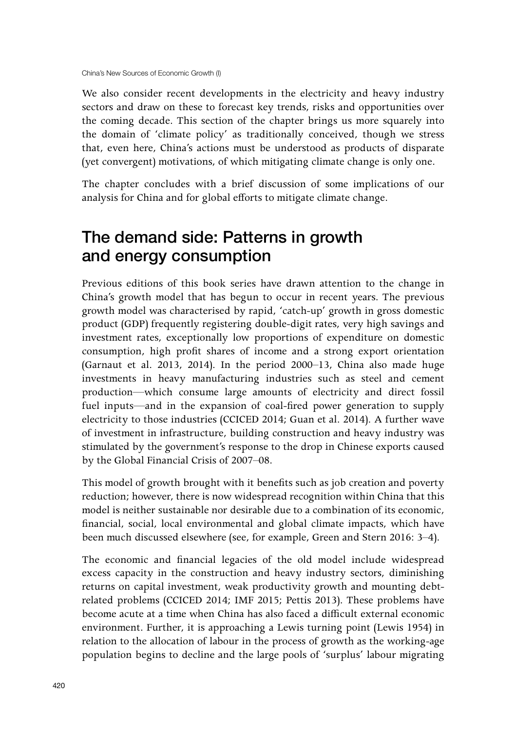We also consider recent developments in the electricity and heavy industry sectors and draw on these to forecast key trends, risks and opportunities over the coming decade. This section of the chapter brings us more squarely into the domain of 'climate policy' as traditionally conceived, though we stress that, even here, China's actions must be understood as products of disparate (yet convergent) motivations, of which mitigating climate change is only one.

The chapter concludes with a brief discussion of some implications of our analysis for China and for global efforts to mitigate climate change.

# The demand side: Patterns in growth and energy consumption

Previous editions of this book series have drawn attention to the change in China's growth model that has begun to occur in recent years. The previous growth model was characterised by rapid, 'catch-up' growth in gross domestic product (GDP) frequently registering double-digit rates, very high savings and investment rates, exceptionally low proportions of expenditure on domestic consumption, high profit shares of income and a strong export orientation (Garnaut et al. 2013, 2014). In the period 2000–13, China also made huge investments in heavy manufacturing industries such as steel and cement production—which consume large amounts of electricity and direct fossil fuel inputs—and in the expansion of coal-fired power generation to supply electricity to those industries (CCICED 2014; Guan et al. 2014). A further wave of investment in infrastructure, building construction and heavy industry was stimulated by the government's response to the drop in Chinese exports caused by the Global Financial Crisis of 2007–08.

This model of growth brought with it benefits such as job creation and poverty reduction; however, there is now widespread recognition within China that this model is neither sustainable nor desirable due to a combination of its economic, financial, social, local environmental and global climate impacts, which have been much discussed elsewhere (see, for example, Green and Stern 2016: 3–4).

The economic and financial legacies of the old model include widespread excess capacity in the construction and heavy industry sectors, diminishing returns on capital investment, weak productivity growth and mounting debtrelated problems (CCICED 2014; IMF 2015; Pettis 2013). These problems have become acute at a time when China has also faced a difficult external economic environment. Further, it is approaching a Lewis turning point (Lewis 1954) in relation to the allocation of labour in the process of growth as the working-age population begins to decline and the large pools of 'surplus' labour migrating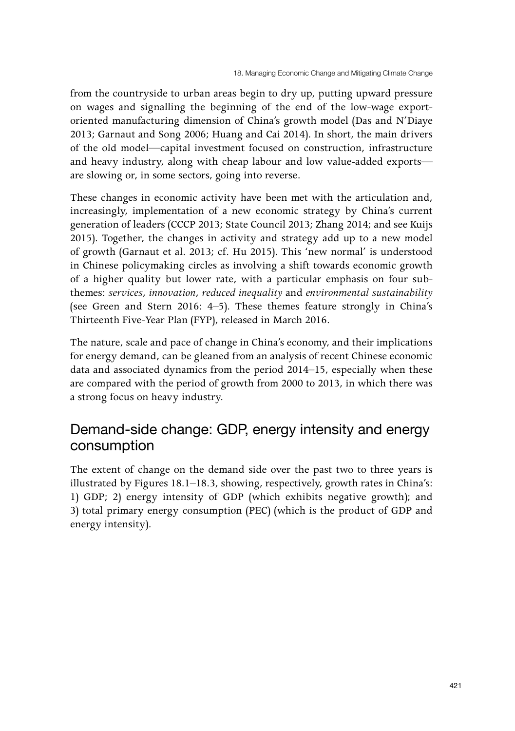from the countryside to urban areas begin to dry up, putting upward pressure on wages and signalling the beginning of the end of the low-wage exportoriented manufacturing dimension of China's growth model (Das and N'Diaye 2013; Garnaut and Song 2006; Huang and Cai 2014). In short, the main drivers of the old model—capital investment focused on construction, infrastructure and heavy industry, along with cheap labour and low value-added exports are slowing or, in some sectors, going into reverse.

These changes in economic activity have been met with the articulation and, increasingly, implementation of a new economic strategy by China's current generation of leaders (CCCP 2013; State Council 2013; Zhang 2014; and see Kuijs 2015). Together, the changes in activity and strategy add up to a new model of growth (Garnaut et al. 2013; cf. Hu 2015). This 'new normal' is understood in Chinese policymaking circles as involving a shift towards economic growth of a higher quality but lower rate, with a particular emphasis on four subthemes: *services*, *innovation*, *reduced inequality* and *environmental sustainability* (see Green and Stern 2016: 4–5). These themes feature strongly in China's Thirteenth Five-Year Plan (FYP), released in March 2016.

The nature, scale and pace of change in China's economy, and their implications for energy demand, can be gleaned from an analysis of recent Chinese economic data and associated dynamics from the period 2014–15, especially when these are compared with the period of growth from 2000 to 2013, in which there was a strong focus on heavy industry.

### Demand-side change: GDP, energy intensity and energy consumption

The extent of change on the demand side over the past two to three years is illustrated by Figures 18.1–18.3, showing, respectively, growth rates in China's: 1) GDP; 2) energy intensity of GDP (which exhibits negative growth); and 3) total primary energy consumption (PEC) (which is the product of GDP and energy intensity).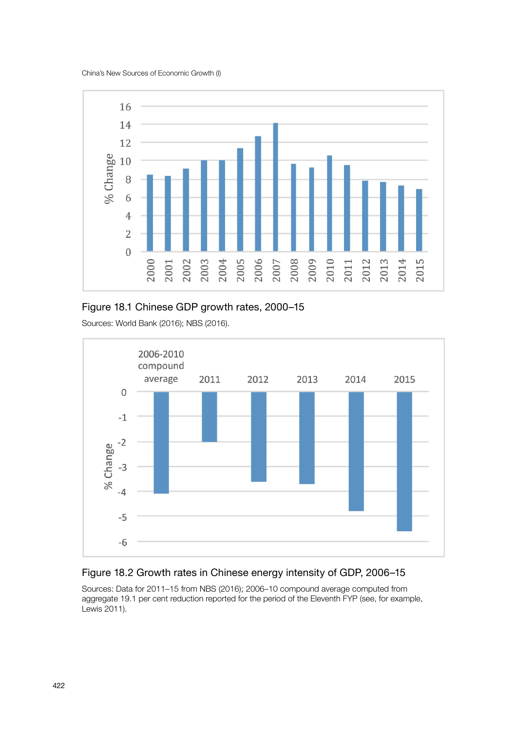

Figure 18.1 Chinese GDP growth rates, 2000–15

Sources: World Bank (2016); NBS (2016).



#### Figure 18.2 Growth rates in Chinese energy intensity of GDP, 2006–15

Sources: Data for 2011–15 from NBS (2016); 2006–10 compound average computed from aggregate 19.1 per cent reduction reported for the period of the Eleventh FYP (see, for example, Lewis 2011).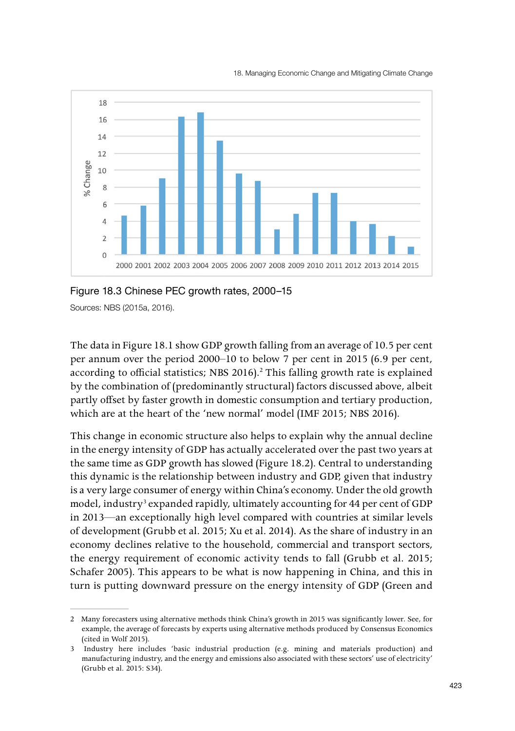18. Managing Economic Change and Mitigating Climate Change



Figure 18.3 Chinese PEC growth rates, 2000–15

Sources: NBS (2015a, 2016).

The data in Figure 18.1 show GDP growth falling from an average of 10.5 per cent per annum over the period 2000–10 to below 7 per cent in 2015 (6.9 per cent, according to official statistics; NBS 2016).<sup>2</sup> This falling growth rate is explained by the combination of (predominantly structural) factors discussed above, albeit partly offset by faster growth in domestic consumption and tertiary production, which are at the heart of the 'new normal' model (IMF 2015; NBS 2016).

This change in economic structure also helps to explain why the annual decline in the energy intensity of GDP has actually accelerated over the past two years at the same time as GDP growth has slowed (Figure 18.2). Central to understanding this dynamic is the relationship between industry and GDP, given that industry is a very large consumer of energy within China's economy. Under the old growth model, industry<sup>3</sup> expanded rapidly, ultimately accounting for 44 per cent of GDP in 2013—an exceptionally high level compared with countries at similar levels of development (Grubb et al. 2015; Xu et al. 2014). As the share of industry in an economy declines relative to the household, commercial and transport sectors, the energy requirement of economic activity tends to fall (Grubb et al. 2015; Schafer 2005). This appears to be what is now happening in China, and this in turn is putting downward pressure on the energy intensity of GDP (Green and

<sup>2</sup> Many forecasters using alternative methods think China's growth in 2015 was significantly lower. See, for example, the average of forecasts by experts using alternative methods produced by Consensus Economics (cited in Wolf 2015).

<sup>3</sup> Industry here includes 'basic industrial production (e.g. mining and materials production) and manufacturing industry, and the energy and emissions also associated with these sectors' use of electricity' (Grubb et al. 2015: S34).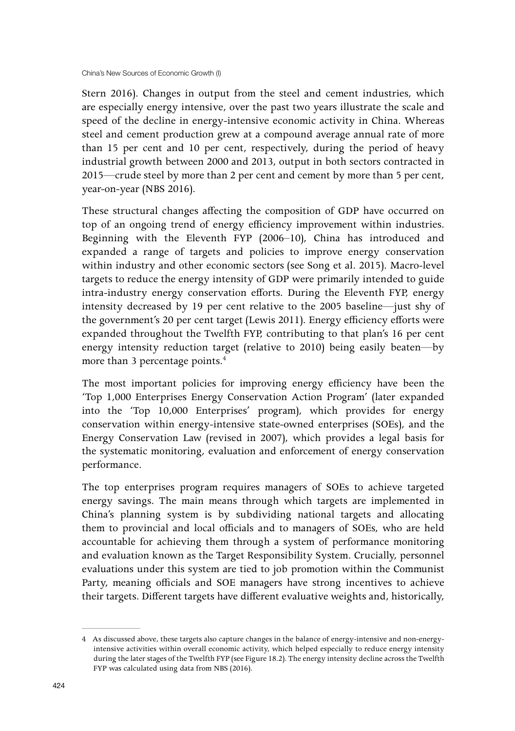Stern 2016). Changes in output from the steel and cement industries, which are especially energy intensive, over the past two years illustrate the scale and speed of the decline in energy-intensive economic activity in China. Whereas steel and cement production grew at a compound average annual rate of more than 15 per cent and 10 per cent, respectively, during the period of heavy industrial growth between 2000 and 2013, output in both sectors contracted in 2015—crude steel by more than 2 per cent and cement by more than 5 per cent, year-on-year (NBS 2016).

These structural changes affecting the composition of GDP have occurred on top of an ongoing trend of energy efficiency improvement within industries. Beginning with the Eleventh FYP (2006–10), China has introduced and expanded a range of targets and policies to improve energy conservation within industry and other economic sectors (see Song et al. 2015). Macro-level targets to reduce the energy intensity of GDP were primarily intended to guide intra-industry energy conservation efforts. During the Eleventh FYP, energy intensity decreased by 19 per cent relative to the 2005 baseline—just shy of the government's 20 per cent target (Lewis 2011). Energy efficiency efforts were expanded throughout the Twelfth FYP, contributing to that plan's 16 per cent energy intensity reduction target (relative to 2010) being easily beaten—by more than 3 percentage points.<sup>4</sup>

The most important policies for improving energy efficiency have been the 'Top 1,000 Enterprises Energy Conservation Action Program' (later expanded into the 'Top 10,000 Enterprises' program), which provides for energy conservation within energy-intensive state-owned enterprises (SOEs), and the Energy Conservation Law (revised in 2007), which provides a legal basis for the systematic monitoring, evaluation and enforcement of energy conservation performance.

The top enterprises program requires managers of SOEs to achieve targeted energy savings. The main means through which targets are implemented in China's planning system is by subdividing national targets and allocating them to provincial and local officials and to managers of SOEs, who are held accountable for achieving them through a system of performance monitoring and evaluation known as the Target Responsibility System. Crucially, personnel evaluations under this system are tied to job promotion within the Communist Party, meaning officials and SOE managers have strong incentives to achieve their targets. Different targets have different evaluative weights and, historically,

<sup>4</sup> As discussed above, these targets also capture changes in the balance of energy-intensive and non-energyintensive activities within overall economic activity, which helped especially to reduce energy intensity during the later stages of the Twelfth FYP (see Figure 18.2). The energy intensity decline across the Twelfth FYP was calculated using data from NBS (2016).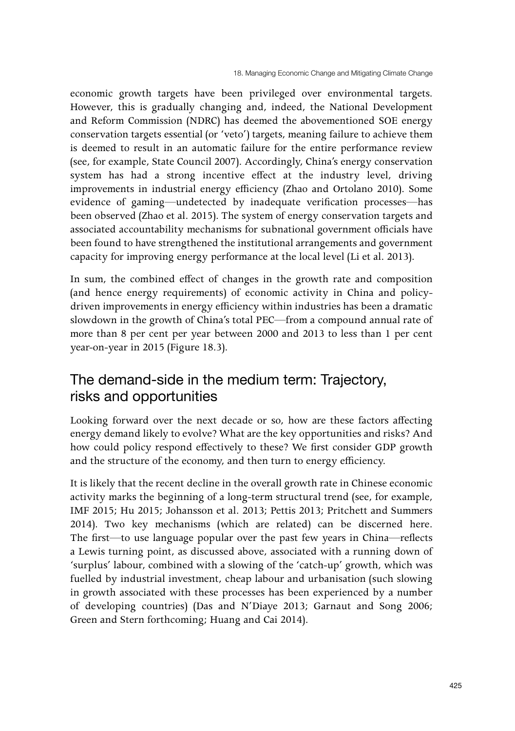economic growth targets have been privileged over environmental targets. However, this is gradually changing and, indeed, the National Development and Reform Commission (NDRC) has deemed the abovementioned SOE energy conservation targets essential (or 'veto') targets, meaning failure to achieve them is deemed to result in an automatic failure for the entire performance review (see, for example, State Council 2007). Accordingly, China's energy conservation system has had a strong incentive effect at the industry level, driving improvements in industrial energy efficiency (Zhao and Ortolano 2010). Some evidence of gaming—undetected by inadequate verification processes—has been observed (Zhao et al. 2015). The system of energy conservation targets and associated accountability mechanisms for subnational government officials have been found to have strengthened the institutional arrangements and government capacity for improving energy performance at the local level (Li et al. 2013).

In sum, the combined effect of changes in the growth rate and composition (and hence energy requirements) of economic activity in China and policydriven improvements in energy efficiency within industries has been a dramatic slowdown in the growth of China's total PEC—from a compound annual rate of more than 8 per cent per year between 2000 and 2013 to less than 1 per cent year-on-year in 2015 (Figure 18.3).

### The demand-side in the medium term: Trajectory, risks and opportunities

Looking forward over the next decade or so, how are these factors affecting energy demand likely to evolve? What are the key opportunities and risks? And how could policy respond effectively to these? We first consider GDP growth and the structure of the economy, and then turn to energy efficiency.

It is likely that the recent decline in the overall growth rate in Chinese economic activity marks the beginning of a long-term structural trend (see, for example, IMF 2015; Hu 2015; Johansson et al. 2013; Pettis 2013; Pritchett and Summers 2014). Two key mechanisms (which are related) can be discerned here. The first—to use language popular over the past few years in China—reflects a Lewis turning point, as discussed above, associated with a running down of 'surplus' labour, combined with a slowing of the 'catch-up' growth, which was fuelled by industrial investment, cheap labour and urbanisation (such slowing in growth associated with these processes has been experienced by a number of developing countries) (Das and N'Diaye 2013; Garnaut and Song 2006; Green and Stern forthcoming; Huang and Cai 2014).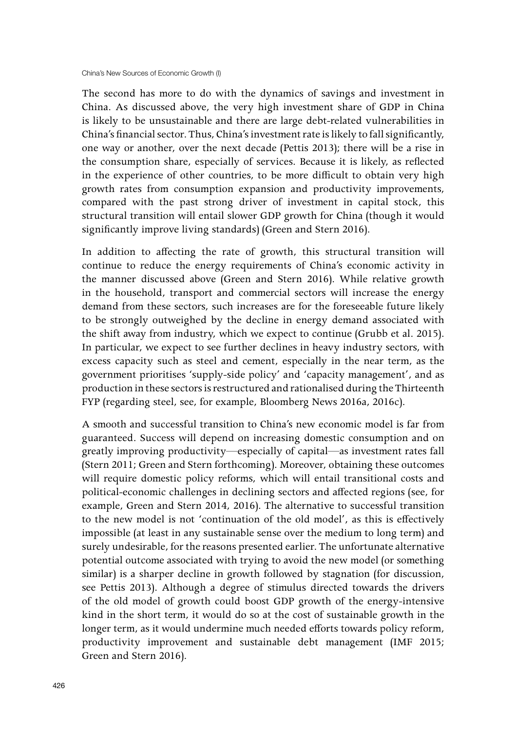The second has more to do with the dynamics of savings and investment in China. As discussed above, the very high investment share of GDP in China is likely to be unsustainable and there are large debt-related vulnerabilities in China's financial sector. Thus, China's investment rate is likely to fall significantly, one way or another, over the next decade (Pettis 2013); there will be a rise in the consumption share, especially of services. Because it is likely, as reflected in the experience of other countries, to be more difficult to obtain very high growth rates from consumption expansion and productivity improvements, compared with the past strong driver of investment in capital stock, this structural transition will entail slower GDP growth for China (though it would significantly improve living standards) (Green and Stern 2016).

In addition to affecting the rate of growth, this structural transition will continue to reduce the energy requirements of China's economic activity in the manner discussed above (Green and Stern 2016). While relative growth in the household, transport and commercial sectors will increase the energy demand from these sectors, such increases are for the foreseeable future likely to be strongly outweighed by the decline in energy demand associated with the shift away from industry, which we expect to continue (Grubb et al. 2015). In particular, we expect to see further declines in heavy industry sectors, with excess capacity such as steel and cement, especially in the near term, as the government prioritises 'supply-side policy' and 'capacity management', and as production in these sectors is restructured and rationalised during the Thirteenth FYP (regarding steel, see, for example, Bloomberg News 2016a, 2016c).

A smooth and successful transition to China's new economic model is far from guaranteed. Success will depend on increasing domestic consumption and on greatly improving productivity—especially of capital—as investment rates fall (Stern 2011; Green and Stern forthcoming). Moreover, obtaining these outcomes will require domestic policy reforms, which will entail transitional costs and political-economic challenges in declining sectors and affected regions (see, for example, Green and Stern 2014, 2016). The alternative to successful transition to the new model is not 'continuation of the old model', as this is effectively impossible (at least in any sustainable sense over the medium to long term) and surely undesirable, for the reasons presented earlier. The unfortunate alternative potential outcome associated with trying to avoid the new model (or something similar) is a sharper decline in growth followed by stagnation (for discussion, see Pettis 2013). Although a degree of stimulus directed towards the drivers of the old model of growth could boost GDP growth of the energy-intensive kind in the short term, it would do so at the cost of sustainable growth in the longer term, as it would undermine much needed efforts towards policy reform, productivity improvement and sustainable debt management (IMF 2015; Green and Stern 2016).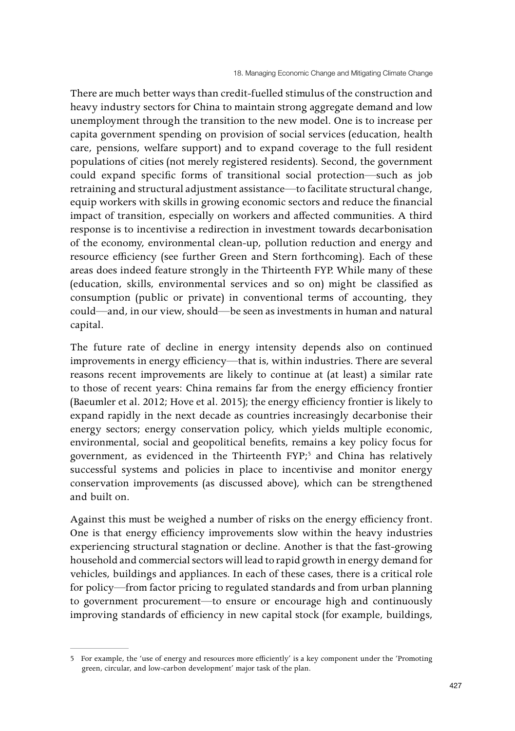There are much better ways than credit-fuelled stimulus of the construction and heavy industry sectors for China to maintain strong aggregate demand and low unemployment through the transition to the new model. One is to increase per capita government spending on provision of social services (education, health care, pensions, welfare support) and to expand coverage to the full resident populations of cities (not merely registered residents). Second, the government could expand specific forms of transitional social protection—such as job retraining and structural adjustment assistance—to facilitate structural change, equip workers with skills in growing economic sectors and reduce the financial impact of transition, especially on workers and affected communities. A third response is to incentivise a redirection in investment towards decarbonisation of the economy, environmental clean-up, pollution reduction and energy and resource efficiency (see further Green and Stern forthcoming). Each of these areas does indeed feature strongly in the Thirteenth FYP. While many of these (education, skills, environmental services and so on) might be classified as consumption (public or private) in conventional terms of accounting, they could—and, in our view, should—be seen as investments in human and natural capital.

The future rate of decline in energy intensity depends also on continued improvements in energy efficiency—that is, within industries. There are several reasons recent improvements are likely to continue at (at least) a similar rate to those of recent years: China remains far from the energy efficiency frontier (Baeumler et al. 2012; Hove et al. 2015); the energy efficiency frontier is likely to expand rapidly in the next decade as countries increasingly decarbonise their energy sectors; energy conservation policy, which yields multiple economic, environmental, social and geopolitical benefits, remains a key policy focus for government, as evidenced in the Thirteenth FYP;<sup>5</sup> and China has relatively successful systems and policies in place to incentivise and monitor energy conservation improvements (as discussed above), which can be strengthened and built on.

Against this must be weighed a number of risks on the energy efficiency front. One is that energy efficiency improvements slow within the heavy industries experiencing structural stagnation or decline. Another is that the fast-growing household and commercial sectors will lead to rapid growth in energy demand for vehicles, buildings and appliances. In each of these cases, there is a critical role for policy—from factor pricing to regulated standards and from urban planning to government procurement—to ensure or encourage high and continuously improving standards of efficiency in new capital stock (for example, buildings,

<sup>5</sup> For example, the 'use of energy and resources more efficiently' is a key component under the 'Promoting green, circular, and low-carbon development' major task of the plan.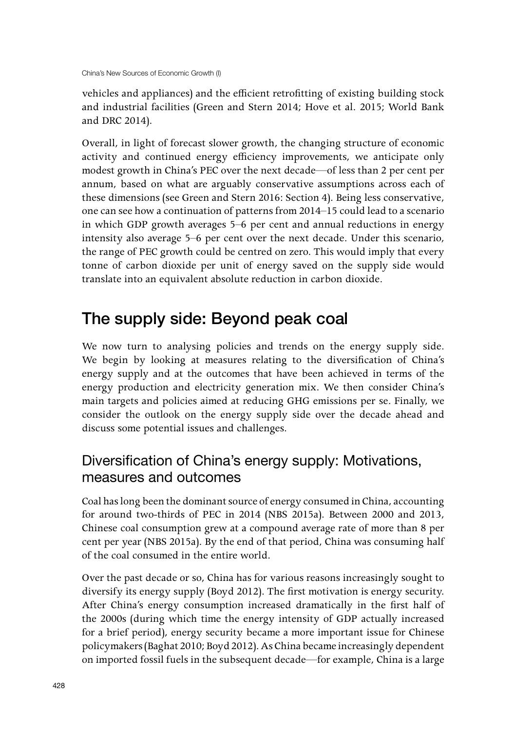vehicles and appliances) and the efficient retrofitting of existing building stock and industrial facilities (Green and Stern 2014; Hove et al. 2015; World Bank and DRC 2014).

Overall, in light of forecast slower growth, the changing structure of economic activity and continued energy efficiency improvements, we anticipate only modest growth in China's PEC over the next decade—of less than 2 per cent per annum, based on what are arguably conservative assumptions across each of these dimensions (see Green and Stern 2016: Section 4). Being less conservative, one can see how a continuation of patterns from 2014–15 could lead to a scenario in which GDP growth averages 5–6 per cent and annual reductions in energy intensity also average 5–6 per cent over the next decade. Under this scenario, the range of PEC growth could be centred on zero. This would imply that every tonne of carbon dioxide per unit of energy saved on the supply side would translate into an equivalent absolute reduction in carbon dioxide.

# The supply side: Beyond peak coal

We now turn to analysing policies and trends on the energy supply side. We begin by looking at measures relating to the diversification of China's energy supply and at the outcomes that have been achieved in terms of the energy production and electricity generation mix. We then consider China's main targets and policies aimed at reducing GHG emissions per se. Finally, we consider the outlook on the energy supply side over the decade ahead and discuss some potential issues and challenges.

### Diversification of China's energy supply: Motivations, measures and outcomes

Coal has long been the dominant source of energy consumed in China, accounting for around two-thirds of PEC in 2014 (NBS 2015a). Between 2000 and 2013, Chinese coal consumption grew at a compound average rate of more than 8 per cent per year (NBS 2015a). By the end of that period, China was consuming half of the coal consumed in the entire world.

Over the past decade or so, China has for various reasons increasingly sought to diversify its energy supply (Boyd 2012). The first motivation is energy security. After China's energy consumption increased dramatically in the first half of the 2000s (during which time the energy intensity of GDP actually increased for a brief period), energy security became a more important issue for Chinese policymakers (Baghat 2010; Boyd 2012). As China became increasingly dependent on imported fossil fuels in the subsequent decade—for example, China is a large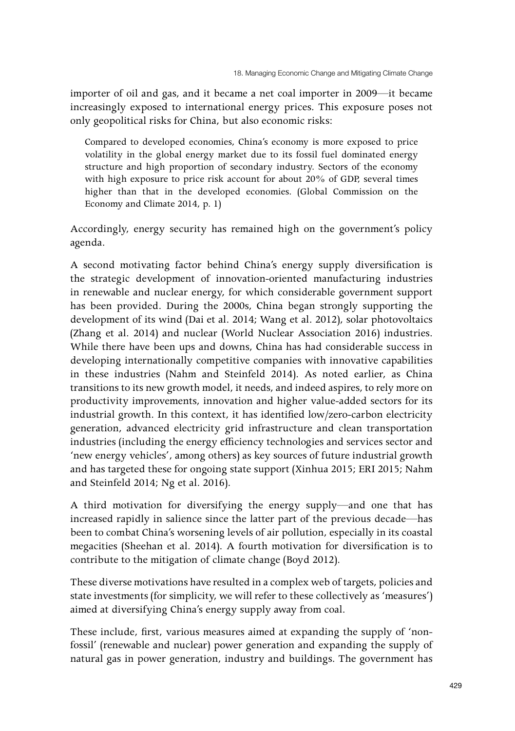importer of oil and gas, and it became a net coal importer in 2009—it became increasingly exposed to international energy prices. This exposure poses not only geopolitical risks for China, but also economic risks:

Compared to developed economies, China's economy is more exposed to price volatility in the global energy market due to its fossil fuel dominated energy structure and high proportion of secondary industry. Sectors of the economy with high exposure to price risk account for about 20% of GDP, several times higher than that in the developed economies. (Global Commission on the Economy and Climate 2014, p. 1)

Accordingly, energy security has remained high on the government's policy agenda.

A second motivating factor behind China's energy supply diversification is the strategic development of innovation-oriented manufacturing industries in renewable and nuclear energy, for which considerable government support has been provided. During the 2000s, China began strongly supporting the development of its wind (Dai et al. 2014; Wang et al. 2012), solar photovoltaics (Zhang et al. 2014) and nuclear (World Nuclear Association 2016) industries. While there have been ups and downs, China has had considerable success in developing internationally competitive companies with innovative capabilities in these industries (Nahm and Steinfeld 2014). As noted earlier, as China transitions to its new growth model, it needs, and indeed aspires, to rely more on productivity improvements, innovation and higher value-added sectors for its industrial growth. In this context, it has identified low/zero-carbon electricity generation, advanced electricity grid infrastructure and clean transportation industries (including the energy efficiency technologies and services sector and 'new energy vehicles', among others) as key sources of future industrial growth and has targeted these for ongoing state support (Xinhua 2015; ERI 2015; Nahm and Steinfeld 2014; Ng et al. 2016).

A third motivation for diversifying the energy supply—and one that has increased rapidly in salience since the latter part of the previous decade—has been to combat China's worsening levels of air pollution, especially in its coastal megacities (Sheehan et al. 2014). A fourth motivation for diversification is to contribute to the mitigation of climate change (Boyd 2012).

These diverse motivations have resulted in a complex web of targets, policies and state investments (for simplicity, we will refer to these collectively as 'measures') aimed at diversifying China's energy supply away from coal.

These include, first, various measures aimed at expanding the supply of 'nonfossil' (renewable and nuclear) power generation and expanding the supply of natural gas in power generation, industry and buildings. The government has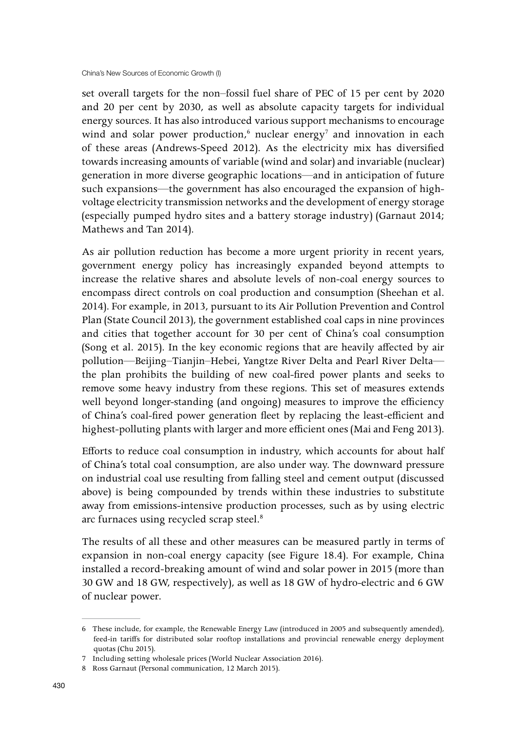set overall targets for the non–fossil fuel share of PEC of 15 per cent by 2020 and 20 per cent by 2030, as well as absolute capacity targets for individual energy sources. It has also introduced various support mechanisms to encourage wind and solar power production,<sup>6</sup> nuclear energy<sup>7</sup> and innovation in each of these areas (Andrews-Speed 2012). As the electricity mix has diversified towards increasing amounts of variable (wind and solar) and invariable (nuclear) generation in more diverse geographic locations—and in anticipation of future such expansions—the government has also encouraged the expansion of highvoltage electricity transmission networks and the development of energy storage (especially pumped hydro sites and a battery storage industry) (Garnaut 2014; Mathews and Tan 2014).

As air pollution reduction has become a more urgent priority in recent years, government energy policy has increasingly expanded beyond attempts to increase the relative shares and absolute levels of non-coal energy sources to encompass direct controls on coal production and consumption (Sheehan et al. 2014). For example, in 2013, pursuant to its Air Pollution Prevention and Control Plan (State Council 2013), the government established coal caps in nine provinces and cities that together account for 30 per cent of China's coal consumption (Song et al. 2015). In the key economic regions that are heavily affected by air pollution—Beijing–Tianjin–Hebei, Yangtze River Delta and Pearl River Delta the plan prohibits the building of new coal-fired power plants and seeks to remove some heavy industry from these regions. This set of measures extends well beyond longer-standing (and ongoing) measures to improve the efficiency of China's coal-fired power generation fleet by replacing the least-efficient and highest-polluting plants with larger and more efficient ones (Mai and Feng 2013).

Efforts to reduce coal consumption in industry, which accounts for about half of China's total coal consumption, are also under way. The downward pressure on industrial coal use resulting from falling steel and cement output (discussed above) is being compounded by trends within these industries to substitute away from emissions-intensive production processes, such as by using electric arc furnaces using recycled scrap steel.<sup>8</sup>

The results of all these and other measures can be measured partly in terms of expansion in non-coal energy capacity (see Figure 18.4). For example, China installed a record-breaking amount of wind and solar power in 2015 (more than 30 GW and 18 GW, respectively), as well as 18 GW of hydro-electric and 6 GW of nuclear power.

<sup>6</sup> These include, for example, the Renewable Energy Law (introduced in 2005 and subsequently amended), feed-in tariffs for distributed solar rooftop installations and provincial renewable energy deployment quotas (Chu 2015).

<sup>7</sup> Including setting wholesale prices (World Nuclear Association 2016).

<sup>8</sup> Ross Garnaut (Personal communication, 12 March 2015).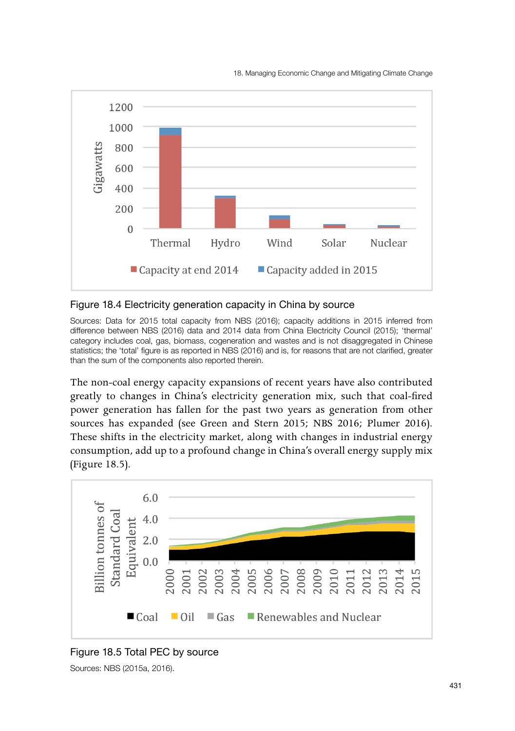18. Managing Economic Change and Mitigating Climate Change



#### Figure 18.4 Electricity generation capacity in China by source

Sources: Data for 2015 total capacity from NBS (2016); capacity additions in 2015 inferred from difference between NBS (2016) data and 2014 data from China Electricity Council (2015); 'thermal' category includes coal, gas, biomass, cogeneration and wastes and is not disaggregated in Chinese statistics; the 'total' figure is as reported in NBS (2016) and is, for reasons that are not clarified, greater than the sum of the components also reported therein.

The non-coal energy capacity expansions of recent years have also contributed greatly to changes in China's electricity generation mix, such that coal-fired power generation has fallen for the past two years as generation from other sources has expanded (see Green and Stern 2015; NBS 2016; Plumer 2016). These shifts in the electricity market, along with changes in industrial energy consumption, add up to a profound change in China's overall energy supply mix (Figure 18.5).



#### Figure 18.5 Total PEC by source

Sources: NBS (2015a, 2016).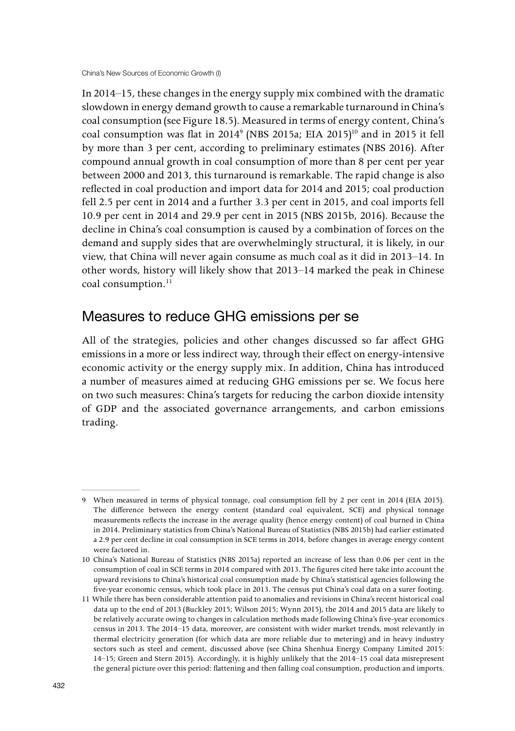In 2014–15, these changes in the energy supply mix combined with the dramatic slowdown in energy demand growth to cause a remarkable turnaround in China's coal consumption (see Figure 18.5). Measured in terms of energy content, China's coal consumption was flat in 2014<sup>9</sup> (NBS 2015a; EIA 2015)<sup>10</sup> and in 2015 it fell by more than 3 per cent, according to preliminary estimates (NBS 2016). After compound annual growth in coal consumption of more than 8 per cent per year between 2000 and 2013, this turnaround is remarkable. The rapid change is also reflected in coal production and import data for 2014 and 2015; coal production fell 2.5 per cent in 2014 and a further 3.3 per cent in 2015, and coal imports fell 10.9 per cent in 2014 and 29.9 per cent in 2015 (NBS 2015b, 2016). Because the decline in China's coal consumption is caused by a combination of forces on the demand and supply sides that are overwhelmingly structural, it is likely, in our view, that China will never again consume as much coal as it did in 2013–14. In other words, history will likely show that 2013–14 marked the peak in Chinese coal consumption.<sup>11</sup>

#### Measures to reduce GHG emissions per se

All of the strategies, policies and other changes discussed so far affect GHG emissions in a more or less indirect way, through their effect on energy-intensive economic activity or the energy supply mix. In addition, China has introduced a number of measures aimed at reducing GHG emissions per se. We focus here on two such measures: China's targets for reducing the carbon dioxide intensity of GDP and the associated governance arrangements, and carbon emissions trading.

<sup>9</sup> When measured in terms of physical tonnage, coal consumption fell by 2 per cent in 2014 (EIA 2015). The difference between the energy content (standard coal equivalent, SCE) and physical tonnage measurements reflects the increase in the average quality (hence energy content) of coal burned in China in 2014. Preliminary statistics from China's National Bureau of Statistics (NBS 2015b) had earlier estimated a 2.9 per cent decline in coal consumption in SCE terms in 2014, before changes in average energy content were factored in.

<sup>10</sup> China's National Bureau of Statistics (NBS 2015a) reported an increase of less than 0.06 per cent in the consumption of coal in SCE terms in 2014 compared with 2013. The figures cited here take into account the upward revisions to China's historical coal consumption made by China's statistical agencies following the five-year economic census, which took place in 2013. The census put China's coal data on a surer footing.

<sup>11</sup> While there has been considerable attention paid to anomalies and revisions in China's recent historical coal data up to the end of 2013 (Buckley 2015; Wilson 2015; Wynn 2015), the 2014 and 2015 data are likely to be relatively accurate owing to changes in calculation methods made following China's five-year economics census in 2013. The 2014–15 data, moreover, are consistent with wider market trends, most relevantly in thermal electricity generation (for which data are more reliable due to metering) and in heavy industry sectors such as steel and cement, discussed above (see China Shenhua Energy Company Limited 2015: 14–15; Green and Stern 2015). Accordingly, it is highly unlikely that the 2014–15 coal data misrepresent the general picture over this period: flattening and then falling coal consumption, production and imports.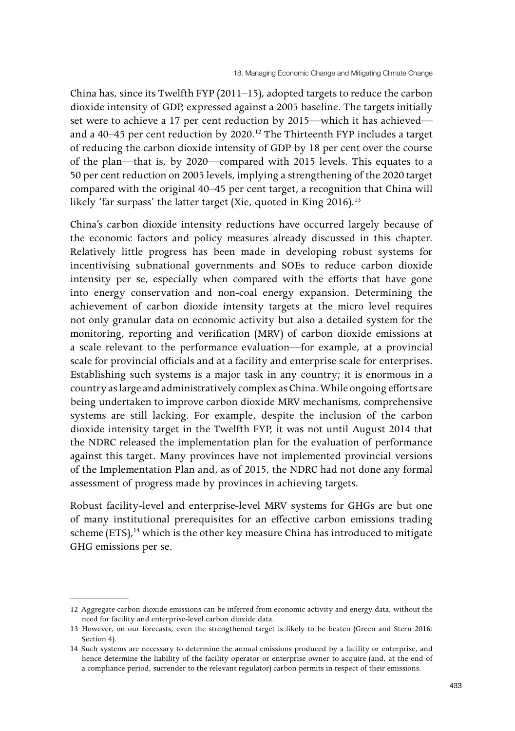China has, since its Twelfth FYP (2011–15), adopted targets to reduce the carbon dioxide intensity of GDP, expressed against a 2005 baseline. The targets initially set were to achieve a 17 per cent reduction by 2015—which it has achieved and a 40–45 per cent reduction by 2020.<sup>12</sup> The Thirteenth FYP includes a target of reducing the carbon dioxide intensity of GDP by 18 per cent over the course of the plan—that is, by 2020—compared with 2015 levels. This equates to a 50 per cent reduction on 2005 levels, implying a strengthening of the 2020 target compared with the original 40–45 per cent target, a recognition that China will likely 'far surpass' the latter target (Xie, quoted in King 2016).<sup>13</sup>

China's carbon dioxide intensity reductions have occurred largely because of the economic factors and policy measures already discussed in this chapter. Relatively little progress has been made in developing robust systems for incentivising subnational governments and SOEs to reduce carbon dioxide intensity per se, especially when compared with the efforts that have gone into energy conservation and non-coal energy expansion. Determining the achievement of carbon dioxide intensity targets at the micro level requires not only granular data on economic activity but also a detailed system for the monitoring, reporting and verification (MRV) of carbon dioxide emissions at a scale relevant to the performance evaluation—for example, at a provincial scale for provincial officials and at a facility and enterprise scale for enterprises. Establishing such systems is a major task in any country; it is enormous in a country as large and administratively complex as China. While ongoing efforts are being undertaken to improve carbon dioxide MRV mechanisms, comprehensive systems are still lacking. For example, despite the inclusion of the carbon dioxide intensity target in the Twelfth FYP, it was not until August 2014 that the NDRC released the implementation plan for the evaluation of performance against this target. Many provinces have not implemented provincial versions of the Implementation Plan and, as of 2015, the NDRC had not done any formal assessment of progress made by provinces in achieving targets.

Robust facility-level and enterprise-level MRV systems for GHGs are but one of many institutional prerequisites for an effective carbon emissions trading scheme (ETS), $14$  which is the other key measure China has introduced to mitigate GHG emissions per se.

<sup>12</sup> Aggregate carbon dioxide emissions can be inferred from economic activity and energy data, without the need for facility and enterprise-level carbon dioxide data.

<sup>13</sup> However, on our forecasts, even the strengthened target is likely to be beaten (Green and Stern 2016: Section 4).

<sup>14</sup> Such systems are necessary to determine the annual emissions produced by a facility or enterprise, and hence determine the liability of the facility operator or enterprise owner to acquire (and, at the end of a compliance period, surrender to the relevant regulator) carbon permits in respect of their emissions.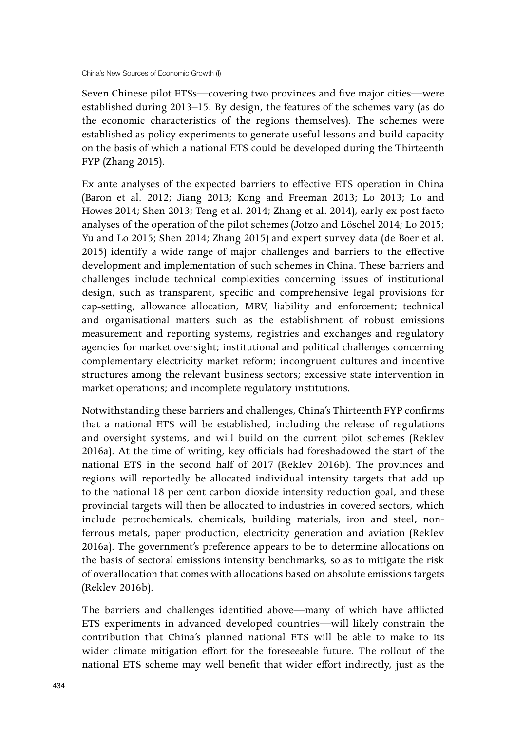Seven Chinese pilot ETSs—covering two provinces and five major cities—were established during 2013–15. By design, the features of the schemes vary (as do the economic characteristics of the regions themselves). The schemes were established as policy experiments to generate useful lessons and build capacity on the basis of which a national ETS could be developed during the Thirteenth FYP (Zhang 2015).

Ex ante analyses of the expected barriers to effective ETS operation in China (Baron et al. 2012; Jiang 2013; Kong and Freeman 2013; Lo 2013; Lo and Howes 2014; Shen 2013; Teng et al. 2014; Zhang et al. 2014), early ex post facto analyses of the operation of the pilot schemes (Jotzo and Löschel 2014; Lo 2015; Yu and Lo 2015; Shen 2014; Zhang 2015) and expert survey data (de Boer et al. 2015) identify a wide range of major challenges and barriers to the effective development and implementation of such schemes in China. These barriers and challenges include technical complexities concerning issues of institutional design, such as transparent, specific and comprehensive legal provisions for cap-setting, allowance allocation, MRV, liability and enforcement; technical and organisational matters such as the establishment of robust emissions measurement and reporting systems, registries and exchanges and regulatory agencies for market oversight; institutional and political challenges concerning complementary electricity market reform; incongruent cultures and incentive structures among the relevant business sectors; excessive state intervention in market operations; and incomplete regulatory institutions.

Notwithstanding these barriers and challenges, China's Thirteenth FYP confirms that a national ETS will be established, including the release of regulations and oversight systems, and will build on the current pilot schemes (Reklev 2016a). At the time of writing, key officials had foreshadowed the start of the national ETS in the second half of 2017 (Reklev 2016b). The provinces and regions will reportedly be allocated individual intensity targets that add up to the national 18 per cent carbon dioxide intensity reduction goal, and these provincial targets will then be allocated to industries in covered sectors, which include petrochemicals, chemicals, building materials, iron and steel, nonferrous metals, paper production, electricity generation and aviation (Reklev 2016a). The government's preference appears to be to determine allocations on the basis of sectoral emissions intensity benchmarks, so as to mitigate the risk of overallocation that comes with allocations based on absolute emissions targets (Reklev 2016b).

The barriers and challenges identified above—many of which have afflicted ETS experiments in advanced developed countries—will likely constrain the contribution that China's planned national ETS will be able to make to its wider climate mitigation effort for the foreseeable future. The rollout of the national ETS scheme may well benefit that wider effort indirectly, just as the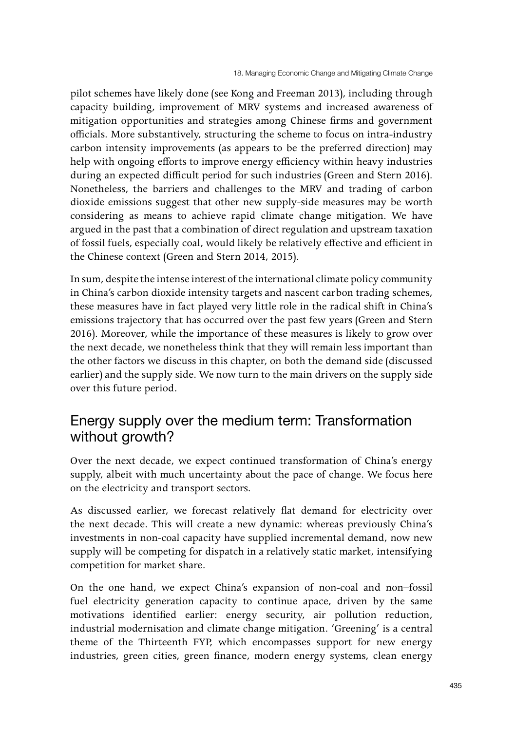pilot schemes have likely done (see Kong and Freeman 2013), including through capacity building, improvement of MRV systems and increased awareness of mitigation opportunities and strategies among Chinese firms and government officials. More substantively, structuring the scheme to focus on intra-industry carbon intensity improvements (as appears to be the preferred direction) may help with ongoing efforts to improve energy efficiency within heavy industries during an expected difficult period for such industries (Green and Stern 2016). Nonetheless, the barriers and challenges to the MRV and trading of carbon dioxide emissions suggest that other new supply-side measures may be worth considering as means to achieve rapid climate change mitigation. We have argued in the past that a combination of direct regulation and upstream taxation of fossil fuels, especially coal, would likely be relatively effective and efficient in the Chinese context (Green and Stern 2014, 2015).

In sum, despite the intense interest of the international climate policy community in China's carbon dioxide intensity targets and nascent carbon trading schemes, these measures have in fact played very little role in the radical shift in China's emissions trajectory that has occurred over the past few years (Green and Stern 2016). Moreover, while the importance of these measures is likely to grow over the next decade, we nonetheless think that they will remain less important than the other factors we discuss in this chapter, on both the demand side (discussed earlier) and the supply side. We now turn to the main drivers on the supply side over this future period.

#### Energy supply over the medium term: Transformation without growth?

Over the next decade, we expect continued transformation of China's energy supply, albeit with much uncertainty about the pace of change. We focus here on the electricity and transport sectors.

As discussed earlier, we forecast relatively flat demand for electricity over the next decade. This will create a new dynamic: whereas previously China's investments in non-coal capacity have supplied incremental demand, now new supply will be competing for dispatch in a relatively static market, intensifying competition for market share.

On the one hand, we expect China's expansion of non-coal and non–fossil fuel electricity generation capacity to continue apace, driven by the same motivations identified earlier: energy security, air pollution reduction, industrial modernisation and climate change mitigation. 'Greening' is a central theme of the Thirteenth FYP, which encompasses support for new energy industries, green cities, green finance, modern energy systems, clean energy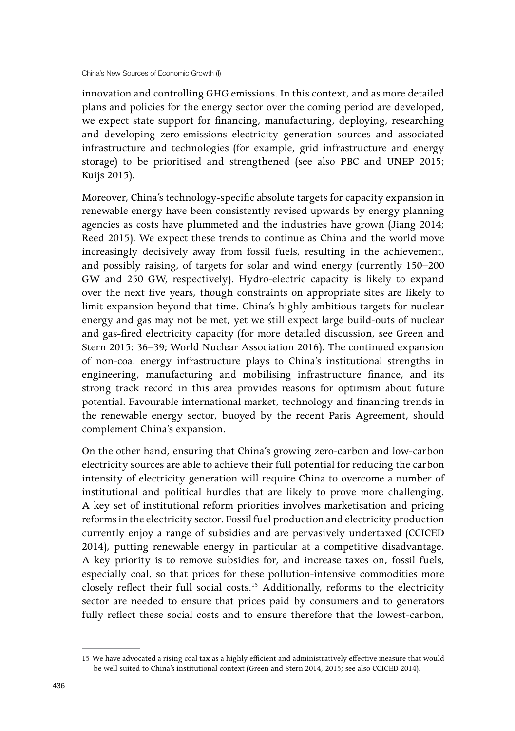innovation and controlling GHG emissions. In this context, and as more detailed plans and policies for the energy sector over the coming period are developed, we expect state support for financing, manufacturing, deploying, researching and developing zero-emissions electricity generation sources and associated infrastructure and technologies (for example, grid infrastructure and energy storage) to be prioritised and strengthened (see also PBC and UNEP 2015; Kuijs 2015).

Moreover, China's technology-specific absolute targets for capacity expansion in renewable energy have been consistently revised upwards by energy planning agencies as costs have plummeted and the industries have grown (Jiang 2014; Reed 2015). We expect these trends to continue as China and the world move increasingly decisively away from fossil fuels, resulting in the achievement, and possibly raising, of targets for solar and wind energy (currently 150–200 GW and 250 GW, respectively). Hydro-electric capacity is likely to expand over the next five years, though constraints on appropriate sites are likely to limit expansion beyond that time. China's highly ambitious targets for nuclear energy and gas may not be met, yet we still expect large build-outs of nuclear and gas-fired electricity capacity (for more detailed discussion, see Green and Stern 2015: 36–39; World Nuclear Association 2016). The continued expansion of non-coal energy infrastructure plays to China's institutional strengths in engineering, manufacturing and mobilising infrastructure finance, and its strong track record in this area provides reasons for optimism about future potential. Favourable international market, technology and financing trends in the renewable energy sector, buoyed by the recent Paris Agreement, should complement China's expansion.

On the other hand, ensuring that China's growing zero-carbon and low-carbon electricity sources are able to achieve their full potential for reducing the carbon intensity of electricity generation will require China to overcome a number of institutional and political hurdles that are likely to prove more challenging. A key set of institutional reform priorities involves marketisation and pricing reforms in the electricity sector. Fossil fuel production and electricity production currently enjoy a range of subsidies and are pervasively undertaxed (CCICED 2014), putting renewable energy in particular at a competitive disadvantage. A key priority is to remove subsidies for, and increase taxes on, fossil fuels, especially coal, so that prices for these pollution-intensive commodities more closely reflect their full social costs.15 Additionally, reforms to the electricity sector are needed to ensure that prices paid by consumers and to generators fully reflect these social costs and to ensure therefore that the lowest-carbon,

<sup>15</sup> We have advocated a rising coal tax as a highly efficient and administratively effective measure that would be well suited to China's institutional context (Green and Stern 2014, 2015; see also CCICED 2014).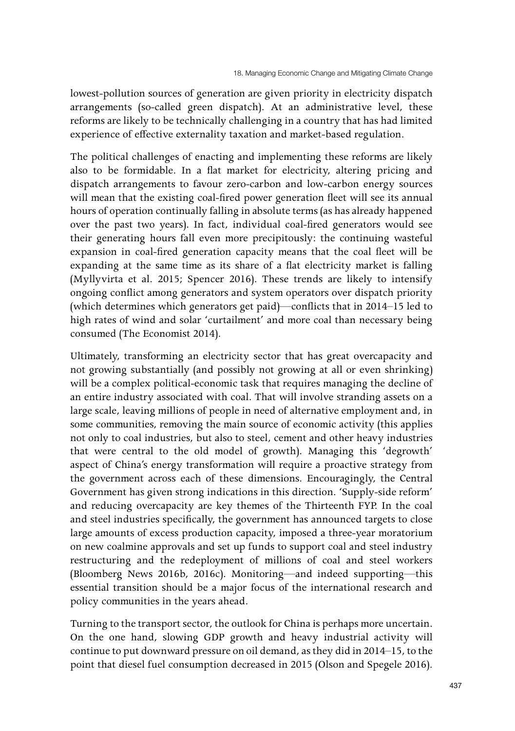lowest-pollution sources of generation are given priority in electricity dispatch arrangements (so-called green dispatch). At an administrative level, these reforms are likely to be technically challenging in a country that has had limited experience of effective externality taxation and market-based regulation.

The political challenges of enacting and implementing these reforms are likely also to be formidable. In a flat market for electricity, altering pricing and dispatch arrangements to favour zero-carbon and low-carbon energy sources will mean that the existing coal-fired power generation fleet will see its annual hours of operation continually falling in absolute terms (as has already happened over the past two years). In fact, individual coal-fired generators would see their generating hours fall even more precipitously: the continuing wasteful expansion in coal-fired generation capacity means that the coal fleet will be expanding at the same time as its share of a flat electricity market is falling (Myllyvirta et al. 2015; Spencer 2016). These trends are likely to intensify ongoing conflict among generators and system operators over dispatch priority (which determines which generators get paid)—conflicts that in 2014–15 led to high rates of wind and solar 'curtailment' and more coal than necessary being consumed (The Economist 2014).

Ultimately, transforming an electricity sector that has great overcapacity and not growing substantially (and possibly not growing at all or even shrinking) will be a complex political-economic task that requires managing the decline of an entire industry associated with coal. That will involve stranding assets on a large scale, leaving millions of people in need of alternative employment and, in some communities, removing the main source of economic activity (this applies not only to coal industries, but also to steel, cement and other heavy industries that were central to the old model of growth). Managing this 'degrowth' aspect of China's energy transformation will require a proactive strategy from the government across each of these dimensions. Encouragingly, the Central Government has given strong indications in this direction. 'Supply-side reform' and reducing overcapacity are key themes of the Thirteenth FYP. In the coal and steel industries specifically, the government has announced targets to close large amounts of excess production capacity, imposed a three-year moratorium on new coalmine approvals and set up funds to support coal and steel industry restructuring and the redeployment of millions of coal and steel workers (Bloomberg News 2016b, 2016c). Monitoring—and indeed supporting—this essential transition should be a major focus of the international research and policy communities in the years ahead.

Turning to the transport sector, the outlook for China is perhaps more uncertain. On the one hand, slowing GDP growth and heavy industrial activity will continue to put downward pressure on oil demand, as they did in 2014–15, to the point that diesel fuel consumption decreased in 2015 (Olson and Spegele 2016).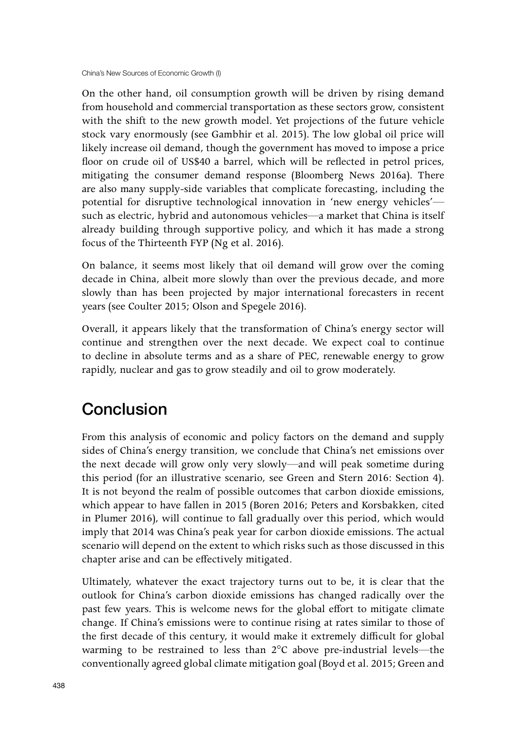On the other hand, oil consumption growth will be driven by rising demand from household and commercial transportation as these sectors grow, consistent with the shift to the new growth model. Yet projections of the future vehicle stock vary enormously (see Gambhir et al. 2015). The low global oil price will likely increase oil demand, though the government has moved to impose a price floor on crude oil of US\$40 a barrel, which will be reflected in petrol prices, mitigating the consumer demand response (Bloomberg News 2016a). There are also many supply-side variables that complicate forecasting, including the potential for disruptive technological innovation in 'new energy vehicles' such as electric, hybrid and autonomous vehicles—a market that China is itself already building through supportive policy, and which it has made a strong focus of the Thirteenth FYP (Ng et al. 2016).

On balance, it seems most likely that oil demand will grow over the coming decade in China, albeit more slowly than over the previous decade, and more slowly than has been projected by major international forecasters in recent years (see Coulter 2015; Olson and Spegele 2016).

Overall, it appears likely that the transformation of China's energy sector will continue and strengthen over the next decade. We expect coal to continue to decline in absolute terms and as a share of PEC, renewable energy to grow rapidly, nuclear and gas to grow steadily and oil to grow moderately.

# Conclusion

From this analysis of economic and policy factors on the demand and supply sides of China's energy transition, we conclude that China's net emissions over the next decade will grow only very slowly—and will peak sometime during this period (for an illustrative scenario, see Green and Stern 2016: Section 4). It is not beyond the realm of possible outcomes that carbon dioxide emissions, which appear to have fallen in 2015 (Boren 2016; Peters and Korsbakken, cited in Plumer 2016), will continue to fall gradually over this period, which would imply that 2014 was China's peak year for carbon dioxide emissions. The actual scenario will depend on the extent to which risks such as those discussed in this chapter arise and can be effectively mitigated.

Ultimately, whatever the exact trajectory turns out to be, it is clear that the outlook for China's carbon dioxide emissions has changed radically over the past few years. This is welcome news for the global effort to mitigate climate change. If China's emissions were to continue rising at rates similar to those of the first decade of this century, it would make it extremely difficult for global warming to be restrained to less than 2°C above pre-industrial levels—the conventionally agreed global climate mitigation goal (Boyd et al. 2015; Green and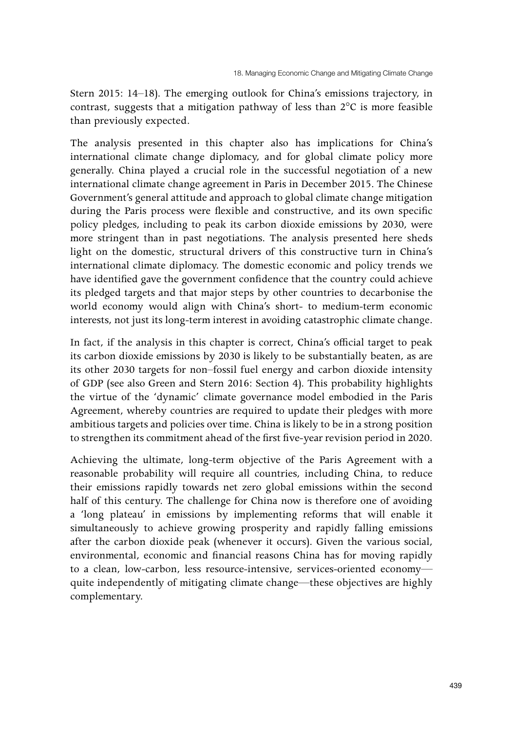Stern 2015: 14–18). The emerging outlook for China's emissions trajectory, in contrast, suggests that a mitigation pathway of less than 2°C is more feasible than previously expected.

The analysis presented in this chapter also has implications for China's international climate change diplomacy, and for global climate policy more generally. China played a crucial role in the successful negotiation of a new international climate change agreement in Paris in December 2015. The Chinese Government's general attitude and approach to global climate change mitigation during the Paris process were flexible and constructive, and its own specific policy pledges, including to peak its carbon dioxide emissions by 2030, were more stringent than in past negotiations. The analysis presented here sheds light on the domestic, structural drivers of this constructive turn in China's international climate diplomacy. The domestic economic and policy trends we have identified gave the government confidence that the country could achieve its pledged targets and that major steps by other countries to decarbonise the world economy would align with China's short- to medium-term economic interests, not just its long-term interest in avoiding catastrophic climate change.

In fact, if the analysis in this chapter is correct, China's official target to peak its carbon dioxide emissions by 2030 is likely to be substantially beaten, as are its other 2030 targets for non–fossil fuel energy and carbon dioxide intensity of GDP (see also Green and Stern 2016: Section 4). This probability highlights the virtue of the 'dynamic' climate governance model embodied in the Paris Agreement, whereby countries are required to update their pledges with more ambitious targets and policies over time. China is likely to be in a strong position to strengthen its commitment ahead of the first five-year revision period in 2020.

Achieving the ultimate, long-term objective of the Paris Agreement with a reasonable probability will require all countries, including China, to reduce their emissions rapidly towards net zero global emissions within the second half of this century. The challenge for China now is therefore one of avoiding a 'long plateau' in emissions by implementing reforms that will enable it simultaneously to achieve growing prosperity and rapidly falling emissions after the carbon dioxide peak (whenever it occurs). Given the various social, environmental, economic and financial reasons China has for moving rapidly to a clean, low-carbon, less resource-intensive, services-oriented economy quite independently of mitigating climate change—these objectives are highly complementary.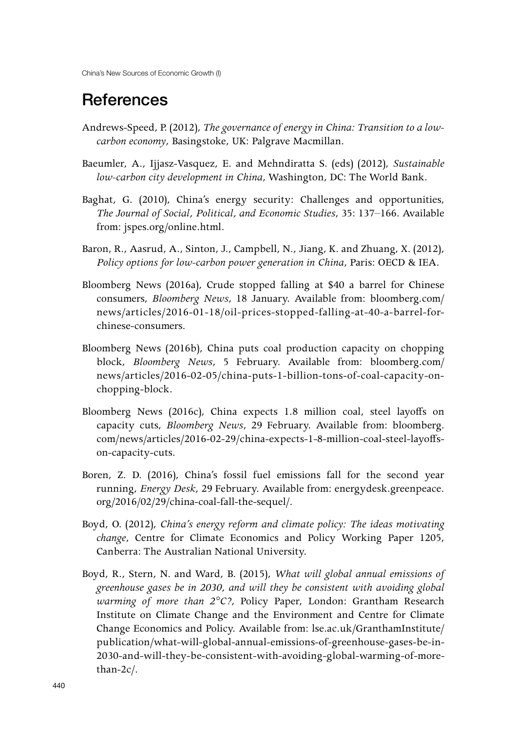### References

- Andrews-Speed, P. (2012), *The governance of energy in China: Transition to a lowcarbon economy*, Basingstoke, UK: Palgrave Macmillan.
- Baeumler, A., Ijjasz-Vasquez, E. and Mehndiratta S. (eds) (2012), *Sustainable low-carbon city development in China*, Washington, DC: The World Bank.
- Baghat, G. (2010), China's energy security: Challenges and opportunities, *The Journal of Social, Political, and Economic Studies*, 35: 137–166. Available from[: jspes.org/online.html.](http://www.jspes.org/online.html)
- Baron, R., Aasrud, A., Sinton, J., Campbell, N., Jiang, K. and Zhuang, X. (2012), *Policy options for low-carbon power generation in China*, Paris: OECD & IEA.
- Bloomberg News (2016a), Crude stopped falling at \$40 a barrel for Chinese consumers, *Bloomberg News*, 18 January. Available fro[m: bloomberg.com/](http://www.bloomberg.com/news/articles/2016-01-18/oil-prices-stopped-falling-at-40-a-barrel-for-chinese-consumers) [news/articles/2016-01-18/oil-prices-stopped-falling-at-40-a-barrel-for](http://www.bloomberg.com/news/articles/2016-01-18/oil-prices-stopped-falling-at-40-a-barrel-for-chinese-consumers)[chinese-consumers.](http://www.bloomberg.com/news/articles/2016-01-18/oil-prices-stopped-falling-at-40-a-barrel-for-chinese-consumers)
- Bloomberg News (2016b), China puts coal production capacity on chopping block, *Bloomberg News*, 5 February. Available from: [bloomberg.com/](http://www.bloomberg.com/news/articles/2016-02-05/china-puts-1-billion-tons-of-coal-capacity-on-chopping-block) [news/articles/2016-02-05/china-puts-1-billion-tons-of-coal-capacity-on](http://www.bloomberg.com/news/articles/2016-02-05/china-puts-1-billion-tons-of-coal-capacity-on-chopping-block)[chopping-block](http://www.bloomberg.com/news/articles/2016-02-05/china-puts-1-billion-tons-of-coal-capacity-on-chopping-block).
- Bloomberg News (2016c), China expects 1.8 million coal, steel layoffs on capacity cuts, *Bloomberg News*, 29 February. Available from: [bloomberg.](http://www.bloomberg.com/news/articles/2016-02-29/china-expects-1-8-million-coal-steel-layoffs-on-capacity-cuts) [com/news/articles/2016-02-29/china-expects-1-8-million-coal-steel-layoffs](http://www.bloomberg.com/news/articles/2016-02-29/china-expects-1-8-million-coal-steel-layoffs-on-capacity-cuts)[on-capacity-cuts](http://www.bloomberg.com/news/articles/2016-02-29/china-expects-1-8-million-coal-steel-layoffs-on-capacity-cuts).
- Boren, Z. D. (2016), China's fossil fuel emissions fall for the second year running, *Energy Desk*, 29 February. Available from[: energydesk.greenpeace.](http://energydesk.greenpeace.org/2016/02/29/china-coal-fall-the-sequel/) [org/2016/02/29/china-coal-fall-the-sequel/.](http://energydesk.greenpeace.org/2016/02/29/china-coal-fall-the-sequel/)
- Boyd, O. (2012), *China's energy reform and climate policy: The ideas motivating change*, Centre for Climate Economics and Policy Working Paper 1205, Canberra: The Australian National University.
- Boyd, R., Stern, N. and Ward, B. (2015), *What will global annual emissions of greenhouse gases be in 2030, and will they be consistent with avoiding global warming of more than 2°C?*, Policy Paper, London: Grantham Research Institute on Climate Change and the Environment and Centre for Climate Change Economics and Policy. Available from: [lse.ac.uk/GranthamInstitute/](http://www.lse.ac.uk/GranthamInstitute/publication/what-will-global-annual-emissions-of-greenhouse-gases-be-in-2030-and-will-they-be-consistent-with-avoiding-global-warming-of-more-than-2c/) [publication/what-will-global-annual-emissions-of-greenhouse-gases-be-in-](http://www.lse.ac.uk/GranthamInstitute/publication/what-will-global-annual-emissions-of-greenhouse-gases-be-in-2030-and-will-they-be-consistent-with-avoiding-global-warming-of-more-than-2c/)[2030-and-will-they-be-consistent-with-avoiding-global-warming-of-more](http://www.lse.ac.uk/GranthamInstitute/publication/what-will-global-annual-emissions-of-greenhouse-gases-be-in-2030-and-will-they-be-consistent-with-avoiding-global-warming-of-more-than-2c/)[than-2c/.](http://www.lse.ac.uk/GranthamInstitute/publication/what-will-global-annual-emissions-of-greenhouse-gases-be-in-2030-and-will-they-be-consistent-with-avoiding-global-warming-of-more-than-2c/)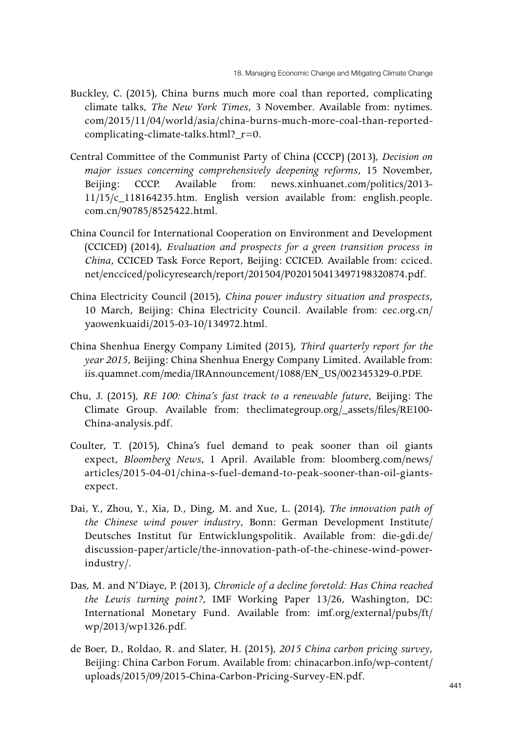- Buckley, C. (2015), China burns much more coal than reported, complicating climate talks, *The New York Times*, 3 November. Available from[: nytimes.](http://www.nytimes.com/2015/11/04/world/asia/china-burns-much-more-coal-than-reported-complicating-climate-talks.html?_r=0) [com/2015/11/04/world/asia/china-burns-much-more-coal-than-reported](http://www.nytimes.com/2015/11/04/world/asia/china-burns-much-more-coal-than-reported-complicating-climate-talks.html?_r=0)[complicating-climate-talks.html?\\_r=0.](http://www.nytimes.com/2015/11/04/world/asia/china-burns-much-more-coal-than-reported-complicating-climate-talks.html?_r=0)
- Central Committee of the Communist Party of China (CCCP) (2013), *Decision on major issues concerning comprehensively deepening reforms*, 15 November, Beijing: CCCP. Available fro[m: news.xinhuanet.com/politics/2013-](http://news.xinhuanet.com/politics/2013-11/15/c_118164235.htm) [11/15/c\\_118164235.htm.](http://news.xinhuanet.com/politics/2013-11/15/c_118164235.htm) English version available from: [english.people.](http://english.people.com.cn/90785/8525422.html) [com.cn/90785/8525422.html](http://english.people.com.cn/90785/8525422.html).
- China Council for International Cooperation on Environment and Development (CCICED) (2014), *Evaluation and prospects for a green transition process in China*, CCICED Task Force Report, Beijing: CCICED. Available from: [cciced.](http://www.cciced.net/encciced/policyresearch/report/201504/P020150413497198320874.pdf) [net/encciced/policyresearch/report/201504/P020150413497198320874.pdf.](http://www.cciced.net/encciced/policyresearch/report/201504/P020150413497198320874.pdf)
- China Electricity Council (2015), *China power industry situation and prospects*, 10 March, Beijing: China Electricity Council. Available from: [cec.org.cn/](http://www.cec.org.cn/yaowenkuaidi/2015-03-10/134972.html) [yaowenkuaidi/2015-03-10/134972.html](http://www.cec.org.cn/yaowenkuaidi/2015-03-10/134972.html).
- China Shenhua Energy Company Limited (2015), *Third quarterly report for the year 2015*, Beijing: China Shenhua Energy Company Limited. Available from: [iis.quamnet.com/media/IRAnnouncement/1088/EN\\_US/002345329-0.PDF.](http://iis.quamnet.com/media/IRAnnouncement/1088/EN_US/002345329-0.PDF)
- Chu, J. (2015), *RE 100: China's fast track to a renewable future*, Beijing: The Climate Group. Available from: [theclimategroup.org/\\_assets/files/RE100-](http://www.theclimategroup.org/_assets/files/RE100-China-analysis.pdf) [China-analysis.pdf.](http://www.theclimategroup.org/_assets/files/RE100-China-analysis.pdf)
- Coulter, T. (2015), China's fuel demand to peak sooner than oil giants expect, *Bloomberg News*, 1 April. Available from[: bloomberg.com/news/](http://www.bloomberg.com/news/articles/2015-04-01/china-s-fuel-demand-to-peak-sooner-than-oil-giants-expect) [articles/2015-04-01/china-s-fuel-demand-to-peak-sooner-than-oil-giants](http://www.bloomberg.com/news/articles/2015-04-01/china-s-fuel-demand-to-peak-sooner-than-oil-giants-expect)[expect.](http://www.bloomberg.com/news/articles/2015-04-01/china-s-fuel-demand-to-peak-sooner-than-oil-giants-expect)
- Dai, Y., Zhou, Y., Xia, D., Ding, M. and Xue, L. (2014), *The innovation path of the Chinese wind power industry*, Bonn: German Development Institute/ Deutsches Institut für Entwicklungspolitik. Available from: [die-gdi.de/](http://www.die-gdi.de/discussion-paper/article/the-innovation-path-of-the-chinese-wind-power-industry/) [discussion-paper/article/the-innovation-path-of-the-chinese-wind-power](http://www.die-gdi.de/discussion-paper/article/the-innovation-path-of-the-chinese-wind-power-industry/)[industry/](http://www.die-gdi.de/discussion-paper/article/the-innovation-path-of-the-chinese-wind-power-industry/).
- Das, M. and N'Diaye, P. (2013), *Chronicle of a decline foretold: Has China reached the Lewis turning point?*, IMF Working Paper 13/26, Washington, DC: International Monetary Fund. Available from[: imf.org/external/pubs/ft/](https://www.imf.org/external/pubs/ft/wp/2013/wp1326.pdf) [wp/2013/wp1326.pdf](https://www.imf.org/external/pubs/ft/wp/2013/wp1326.pdf).
- de Boer, D., Roldao, R. and Slater, H. (2015), *2015 China carbon pricing survey*, Beijing: China Carbon Forum. [Available from: chinacarbon.info/wp-content/](http://www.chinacarbon.info/wp-content/uploads/2015/09/2015-China-Carbon-Pricing-Survey-EN.pdf) [uploads/2015/09/2015-China-Carbon-Pricing-Survey-EN.pdf.](http://www.chinacarbon.info/wp-content/uploads/2015/09/2015-China-Carbon-Pricing-Survey-EN.pdf)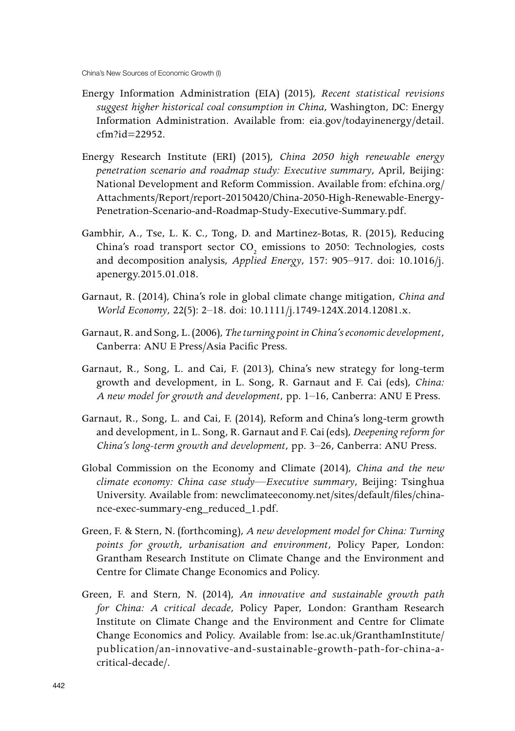- Energy Information Administration (EIA) (2015), *Recent statistical revisions suggest higher historical coal consumption in China*, Washington, DC: Energy Information Administration. Available from[: eia.gov/todayinenergy/detail.](http://www.eia.gov/todayinenergy/detail.cfm?id=22952) [cfm?id=22952](http://www.eia.gov/todayinenergy/detail.cfm?id=22952).
- Energy Research Institute (ERI) (2015), *China 2050 high renewable energy penetration scenario and roadmap study: Executive summary*, April, Beijing: National Development and Reform Commission. Available from[: efchina.org/](http://www.efchina.org/Attachments/Report/report-20150420/China-2050-High-Renewable-Energy-Penetration-Scenario-and-Roadmap-Study-Executive-Summary.pdf) [Attachments/Report/report-20150420/China-2050-High-Renewable-Energy-](http://www.efchina.org/Attachments/Report/report-20150420/China-2050-High-Renewable-Energy-Penetration-Scenario-and-Roadmap-Study-Executive-Summary.pdf)[Penetration-Scenario-and-Roadmap-Study-Executive-Summary.pdf](http://www.efchina.org/Attachments/Report/report-20150420/China-2050-High-Renewable-Energy-Penetration-Scenario-and-Roadmap-Study-Executive-Summary.pdf).
- Gambhir, A., Tse, L. K. C., Tong, D. and Martinez-Botas, R. (2015), Reducing China's road transport sector  $\text{CO}_2$  emissions to 2050: Technologies, costs and decomposition analysis, *Applied Energy*, 157: 905–917. doi: 10.1016/j. apenergy.2015.01.018.
- Garnaut, R. (2014), China's role in global climate change mitigation, *China and World Economy*, 22(5): 2–18. doi: 10.1111/j.1749-124X.2014.12081.x.
- Garnaut, R. and Song, L. (2006), *The turning point in China's economic development*, Canberra: ANU E Press/Asia Pacific Press.
- Garnaut, R., Song, L. and Cai, F. (2013), China's new strategy for long-term growth and development, in L. Song, R. Garnaut and F. Cai (eds), *China: A new model for growth and development*, pp. 1–16, Canberra: ANU E Press.
- Garnaut, R., Song, L. and Cai, F. (2014), Reform and China's long-term growth and development, in L. Song, R. Garnaut and F. Cai (eds), *Deepening reform for China's long-term growth and development*, pp. 3–26, Canberra: ANU Press.
- Global Commission on the Economy and Climate (2014), *China and the new climate economy: China case study—Executive summary*, Beijing: Tsinghua University. Available from[: newclimateeconomy.net/sites/default/files/china](http://newclimateeconomy.net/sites/default/files/china-nce-exec-summary-eng_reduced_1.pdf)[nce-exec-summary-eng\\_reduced\\_1.pdf](http://newclimateeconomy.net/sites/default/files/china-nce-exec-summary-eng_reduced_1.pdf).
- Green, F. & Stern, N. (forthcoming), *A new development model for China: Turning points for growth, urbanisation and environment*, Policy Paper, London: Grantham Research Institute on Climate Change and the Environment and Centre for Climate Change Economics and Policy.
- Green, F. and Stern, N. (2014), *An innovative and sustainable growth path for China: A critical decade*, Policy Paper, London: Grantham Research Institute on Climate Change and the Environment and Centre for Climate Change Economics and Policy. Available fro[m: lse.ac.uk/GranthamInstitute/](http://www.lse.ac.uk/GranthamInstitute/publication/an-innovative-and-sustainable-growth-path-for-china-a-critical-decade/) [publication/an-innovative-and-sustainable-growth-path-for-china-a](http://www.lse.ac.uk/GranthamInstitute/publication/an-innovative-and-sustainable-growth-path-for-china-a-critical-decade/)[critical-decade/](http://www.lse.ac.uk/GranthamInstitute/publication/an-innovative-and-sustainable-growth-path-for-china-a-critical-decade/).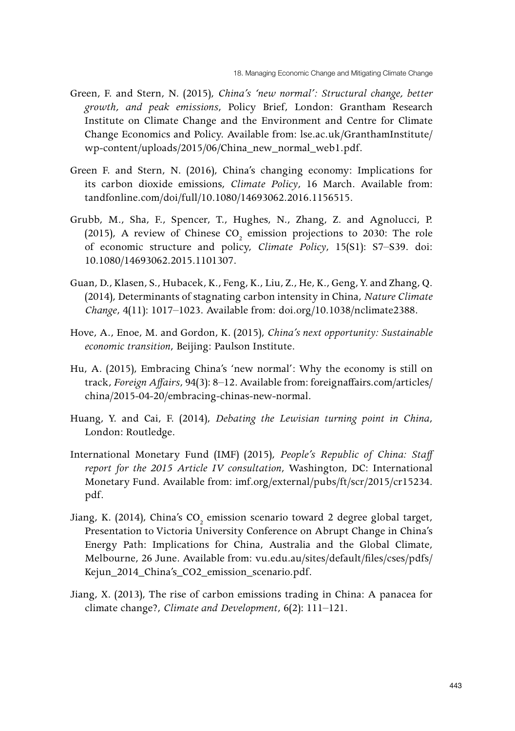- Green, F. and Stern, N. (2015), *China's 'new normal': Structural change, better growth, and peak emissions*, Policy Brief, London: Grantham Research Institute on Climate Change and the Environment and Centre for Climate Change Economics and Policy. Available from[: lse.ac.uk/GranthamInstitute/](http://www.lse.ac.uk/GranthamInstitute/wp-content/uploads/2015/06/China_new_normal_web1.pdf) [wp-content/uploads/2015/06/China\\_new\\_normal\\_web1.pdf.](http://www.lse.ac.uk/GranthamInstitute/wp-content/uploads/2015/06/China_new_normal_web1.pdf)
- Green F. and Stern, N. (2016), China's changing economy: Implications for its carbon dioxide emissions, *Climate Policy*, 16 March. Available from: [tandfonline.com/doi/full/10.1080/14693062.2016.1156515](http://www.tandfonline.com/doi/full/10.1080/14693062.2016.1156515).
- Grubb, M., Sha, F., Spencer, T., Hughes, N., Zhang, Z. and Agnolucci, P. (2015), A review of Chinese  $CO_2$  emission projections to 2030: The role of economic structure and policy, *Climate Policy*, 15(S1): S7–S39. doi: 10.1080/14693062.2015.1101307.
- Guan, D., Klasen, S., Hubacek, K., Feng, K., Liu, Z., He, K., Geng, Y. and Zhang, Q. (2014), Determinants of stagnating carbon intensity in China, *Nature Climate Change*, 4(11): 1017–1023. [Available from: doi.org/10.1038/nclimate2388](http://doi.org/10.1038/nclimate2388).
- Hove, A., Enoe, M. and Gordon, K. (2015), *China's next opportunity: Sustainable economic transition*, Beijing: Paulson Institute.
- Hu, A. (2015), Embracing China's 'new normal': Why the economy is still on track, *Foreign Affairs*, 94(3): 8–12. Available from: [foreignaffairs.com/articles/](https://www.foreignaffairs.com/articles/china/2015-04-20/embracing-chinas-new-normal) [china/2015-04-20/embracing-chinas-new-normal.](https://www.foreignaffairs.com/articles/china/2015-04-20/embracing-chinas-new-normal)
- Huang, Y. and Cai, F. (2014), *Debating the Lewisian turning point in China*, London: Routledge.
- International Monetary Fund (IMF) (2015), *People's Republic of China: Staff report for the 2015 Article IV consultation*, Washington, DC: International Monetary Fund. Available from: [imf.org/external/pubs/ft/scr/2015/cr15234.](http://www.imf.org/external/pubs/ft/scr/2015/cr15234.pdf) [pdf.](http://www.imf.org/external/pubs/ft/scr/2015/cr15234.pdf)
- Jiang, K. (2014), China's CO<sub>2</sub> emission scenario toward 2 degree global target, Presentation to Victoria University Conference on Abrupt Change in China's Energy Path: Implications for China, Australia and the Global Climate, Melbourne, 26 June. Available from: [vu.edu.au/sites/default/files/cses/pdfs/](http://www.vu.edu.au/sites/default/files/cses/pdfs/Kejun_2014_China) [Kejun\\_2014\\_China's\\_CO2\\_emission\\_scenario.pdf.](http://www.vu.edu.au/sites/default/files/cses/pdfs/Kejun_2014_China)
- Jiang, X. (2013), The rise of carbon emissions trading in China: A panacea for climate change?, *Climate and Development*, 6(2): 111–121.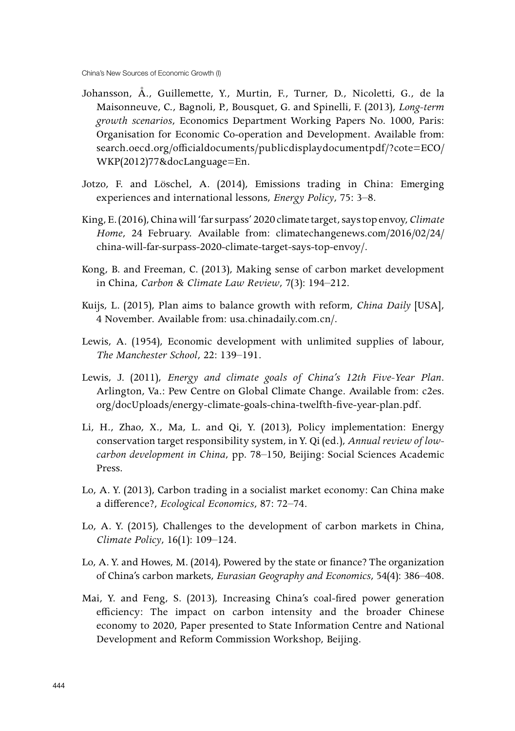- Johansson, Å., Guillemette, Y., Murtin, F., Turner, D., Nicoletti, G., de la Maisonneuve, C., Bagnoli, P., Bousquet, G. and Spinelli, F. (2013), *Long-term growth scenarios*, Economics Department Working Papers No. 1000, Paris: Organisation for Economic Co-operation and Development. Available from: [search.oecd.org/officialdocuments/publicdisplaydocumentpdf/?cote=ECO/](http://search.oecd.org/officialdocuments/publicdisplaydocumentpdf/?cote=ECO/WKP(2012)77&docLanguage=En) [WKP\(2012\)77&docLanguage=En.](http://search.oecd.org/officialdocuments/publicdisplaydocumentpdf/?cote=ECO/WKP(2012)77&docLanguage=En)
- Jotzo, F. and Löschel, A. (2014), Emissions trading in China: Emerging experiences and international lessons, *Energy Policy*, 75: 3–8.
- King, E. (2016), China will 'far surpass' 2020 climate target, says top envoy, *Climate Home*, 24 February. Available from: [climatechangenews.com/2016/02/24/](http://www.climatechangenews.com/2016/02/24/china-will-far-surpass-2020-climate-target-says-top-envoy/) [china-will-far-surpass-2020-climate-target-says-top-envoy/.](http://www.climatechangenews.com/2016/02/24/china-will-far-surpass-2020-climate-target-says-top-envoy/)
- Kong, B. and Freeman, C. (2013), Making sense of carbon market development in China, *Carbon & Climate Law Review*, 7(3): 194–212.
- Kuijs, L. (2015), Plan aims to balance growth with reform, *China Daily* [USA], 4 November. Available from: [usa.chinadaily.com.cn/](http://usa.chinadaily.com.cn/).
- Lewis, A. (1954), Economic development with unlimited supplies of labour, *The Manchester School*, 22: 139–191.
- Lewis, J. (2011), *Energy and climate goals of China's 12th Five-Year Plan*. Arlington, Va.: Pew Centre on Global Climate Change. Available from: [c2es.](http://www.c2es.org/docUploads/energy-climate-goals-china-twelfth-five-year-plan.pdf) [org/docUploads/energy-climate-goals-china-twelfth-five-year-plan.pdf.](http://www.c2es.org/docUploads/energy-climate-goals-china-twelfth-five-year-plan.pdf)
- Li, H., Zhao, X., Ma, L. and Qi, Y. (2013), Policy implementation: Energy conservation target responsibility system, in Y. Qi (ed.), *Annual review of lowcarbon development in China*, pp. 78–150, Beijing: Social Sciences Academic Press.
- Lo, A. Y. (2013), Carbon trading in a socialist market economy: Can China make a difference?, *Ecological Economics*, 87: 72–74.
- Lo, A. Y. (2015), Challenges to the development of carbon markets in China, *Climate Policy*, 16(1): 109–124.
- Lo, A. Y. and Howes, M. (2014), Powered by the state or finance? The organization of China's carbon markets, *Eurasian Geography and Economics*, 54(4): 386–408.
- Mai, Y. and Feng, S. (2013), Increasing China's coal-fired power generation efficiency: The impact on carbon intensity and the broader Chinese economy to 2020, Paper presented to State Information Centre and National Development and Reform Commission Workshop, Beijing.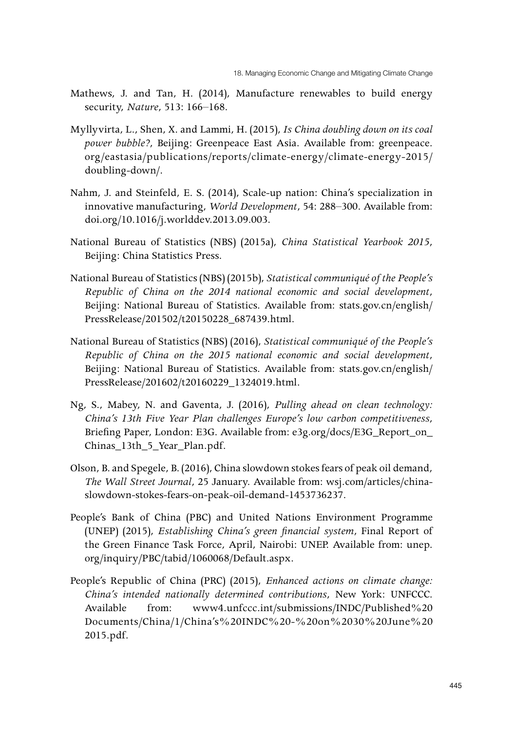- Mathews, J. and Tan, H. (2014), Manufacture renewables to build energy security, *Nature*, 513: 166–168.
- Myllyvirta, L., Shen, X. and Lammi, H. (2015), *Is China doubling down on its coal power bubble?*, Beijing: Greenpeace East Asia. Available from: [greenpeace.](http://www.greenpeace.org/eastasia/publications/reports/climate-energy/climate-energy-2015/doubling-down/) [org/eastasia/publications/reports/climate-energy/climate-energy-2015/](http://www.greenpeace.org/eastasia/publications/reports/climate-energy/climate-energy-2015/doubling-down/) [doubling-down/](http://www.greenpeace.org/eastasia/publications/reports/climate-energy/climate-energy-2015/doubling-down/).
- Nahm, J. and Steinfeld, E. S. (2014), Scale-up nation: China's specialization in innovative manufacturing, *World Development*, 54: 288–300. Available from: [doi.org/10.1016/j.worlddev.2013.09.003](http://doi.org/10.1016/j.worlddev.2013.09.003).
- National Bureau of Statistics (NBS) (2015a), *China Statistical Yearbook 2015*, Beijing: China Statistics Press.
- National Bureau of Statistics (NBS) (2015b), *Statistical communiqué of the People's Republic of China on the 2014 national economic and social development*, Beijing: National Bureau of Statistics. Available from: [stats.gov.cn/english/](http://www.stats.gov.cn/english/PressRelease/201502/t20150228_687439.html) [PressRelease/201502/t20150228\\_687439.html.](http://www.stats.gov.cn/english/PressRelease/201502/t20150228_687439.html)
- National Bureau of Statistics (NBS) (2016), *Statistical communiqué of the People's Republic of China on the 2015 national economic and social development*, Beijing: National Bureau of Statistics. Available from: [stats.gov.cn/english/](http://www.stats.gov.cn/english/PressRelease/201602/t20160229_1324019.html) [PressRelease/201602/t20160229\\_1324019.html.](http://www.stats.gov.cn/english/PressRelease/201602/t20160229_1324019.html)
- Ng, S., Mabey, N. and Gaventa, J. (2016), *Pulling ahead on clean technology: China's 13th Five Year Plan challenges Europe's low carbon competitiveness*, Briefing Paper, London: E3G. Available from: [e3g.org/docs/E3G\\_Report\\_on\\_](https://www.e3g.org/docs/E3G_Report_on_Chinas_13th_5_Year_Plan.pdf) [Chinas\\_13th\\_5\\_Year\\_Plan.pdf](https://www.e3g.org/docs/E3G_Report_on_Chinas_13th_5_Year_Plan.pdf).
- Olson, B. and Spegele, B. (2016), China slowdown stokes fears of peak oil demand, *The Wall Street Journal*, 25 January. Available from: [wsj.com/articles/china](http://www.wsj.com/articles/china-slowdown-stokes-fears-on-peak-oil-demand-1453736237)[slowdown-stokes-fears-on-peak-oil-demand-1453736237.](http://www.wsj.com/articles/china-slowdown-stokes-fears-on-peak-oil-demand-1453736237)
- People's Bank of China (PBC) and United Nations Environment Programme (UNEP) (2015), *Establishing China's green financial system*, Final Report of the Green Finance Task Force, April, Nairobi: UNEP. Available from: [unep.](http://www.unep.org/inquiry/PBC/tabid/1060068/Default.aspx) [org/inquiry/PBC/tabid/1060068/Default.aspx.](http://www.unep.org/inquiry/PBC/tabid/1060068/Default.aspx)
- People's Republic of China (PRC) (2015), *Enhanced actions on climate change: China's intended nationally determined contributions*, New York: UNFCCC. Available from: [www4.unfccc.int/submissions/INDC/Published%20](http://www4.unfccc.int/submissions/INDC/Published%20Documents/China/1/China) [Documents/China/1/China's%20INDC%20-%20on%2030%20June%20](http://www4.unfccc.int/submissions/INDC/Published%20Documents/China/1/China) [2015.pdf.](http://www4.unfccc.int/submissions/INDC/Published%20Documents/China/1/China)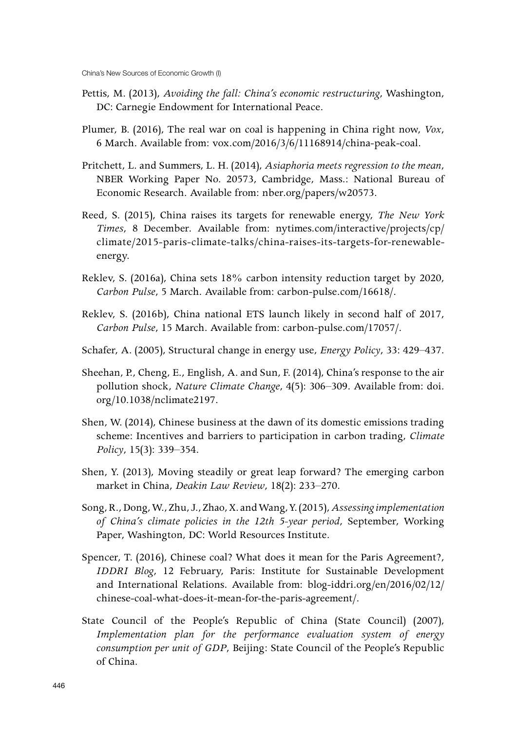- Pettis, M. (2013), *Avoiding the fall: China's economic restructuring*, Washington, DC: Carnegie Endowment for International Peace.
- Plumer, B. (2016), The real war on coal is happening in China right now, *Vox*, 6 March. Available from: [vox.com/2016/3/6/11168914/china-peak-coal](http://www.vox.com/2016/3/6/11168914/china-peak-coal).
- Pritchett, L. and Summers, L. H. (2014), *Asiaphoria meets regression to the mean*, NBER Working Paper No. 20573, Cambridge, Mass.: National Bureau of Economic Research. Available from: [nber.org/papers/w20573.](http://www.nber.org/papers/w20573)
- Reed, S. (2015), China raises its targets for renewable energy, *The New York Times*, 8 December. [Available from: nytimes.com/interactive/projects/cp/](http://www.nytimes.com/interactive/projects/cp/climate/2015-paris-climate-talks/china-raises-its-targets-for-renewable-energy) [climate/2015-paris-climate-talks/china-raises-its-targets-for-renewable](http://www.nytimes.com/interactive/projects/cp/climate/2015-paris-climate-talks/china-raises-its-targets-for-renewable-energy)[energy.](http://www.nytimes.com/interactive/projects/cp/climate/2015-paris-climate-talks/china-raises-its-targets-for-renewable-energy)
- Reklev, S. (2016a), China sets 18% carbon intensity reduction target by 2020, *Carbon Pulse*, 5 March. Available from: [carbon-pulse.com/16618/](http://carbon-pulse.com/16618/).
- Reklev, S. (2016b), China national ETS launch likely in second half of 2017, *Carbon Pulse*, 15 March. Available from: [carbon-pulse.com/17057/.](http://carbon-pulse.com/17057/)
- Schafer, A. (2005), Structural change in energy use, *Energy Policy*, 33: 429–437.
- Sheehan, P., Cheng, E., English, A. and Sun, F. (2014), China's response to the air pollution shock, *Nature Climate Change*, 4(5): 306–309. [Available from: doi.](http://doi.org/10.1038/nclimate2197) [org/10.1038/nclimate2197.](http://doi.org/10.1038/nclimate2197)
- Shen, W. (2014), Chinese business at the dawn of its domestic emissions trading scheme: Incentives and barriers to participation in carbon trading, *Climate Policy*, 15(3): 339–354.
- Shen, Y. (2013), Moving steadily or great leap forward? The emerging carbon market in China, *Deakin Law Review*, 18(2): 233–270.
- Song, R., Dong, W., Zhu, J., Zhao, X. and Wang, Y. (2015), *Assessing implementation of China's climate policies in the 12th 5-year period*, September, Working Paper, Washington, DC: World Resources Institute.
- Spencer, T. (2016), Chinese coal? What does it mean for the Paris Agreement?, *IDDRI Blog*, 12 February, Paris: Institute for Sustainable Development and International Relations. Available from: blog-iddri.org/en/2016/02/12/ chinese-coal-what-does-it-mean-for-the-paris-agreement/.
- State Council of the People's Republic of China (State Council) (2007), *Implementation plan for the performance evaluation system of energy consumption per unit of GDP*, Beijing: State Council of the People's Republic of China.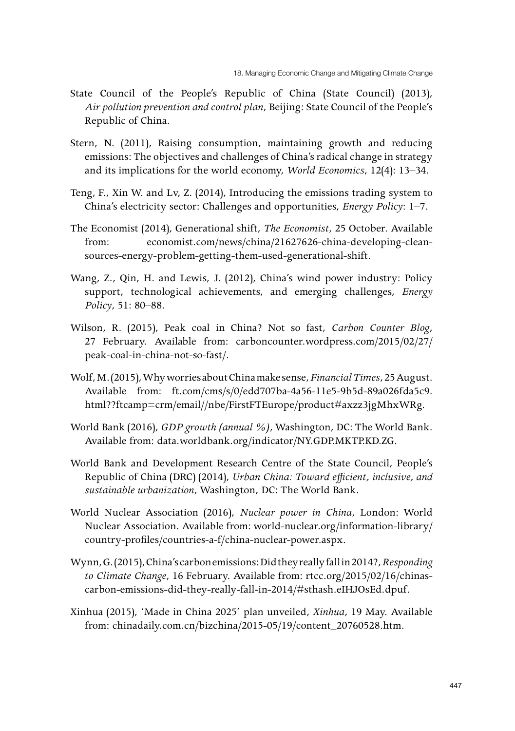- State Council of the People's Republic of China (State Council) (2013), *Air pollution prevention and control plan*, Beijing: State Council of the People's Republic of China.
- Stern, N. (2011), Raising consumption, maintaining growth and reducing emissions: The objectives and challenges of China's radical change in strategy and its implications for the world economy, *World Economics*, 12(4): 13–34.
- Teng, F., Xin W. and Lv, Z. (2014), Introducing the emissions trading system to China's electricity sector: Challenges and opportunities, *Energy Policy*: 1–7.
- The Economist (2014), Generational shift, *The Economist*, 25 October. Available from: [economist.com/news/china/21627626-china-developing-clean](http://www.economist.com/news/china/21627626-china-developing-clean-sources-energy-problem-getting-them-used-generational-shift)[sources-energy-problem-getting-them-used-generational-shift.](http://www.economist.com/news/china/21627626-china-developing-clean-sources-energy-problem-getting-them-used-generational-shift)
- Wang, Z., Qin, H. and Lewis, J. (2012), China's wind power industry: Policy support, technological achievements, and emerging challenges, *Energy Policy*, 51: 80–88.
- Wilson, R. (2015), Peak coal in China? Not so fast, *Carbon Counter Blog*, 27 February. Available from: [carboncounter.wordpress.com/2015/02/27/](https://carboncounter.wordpress.com/2015/02/27/peak-coal-in-china-not-so-fast/) [peak-coal-in-china-not-so-fast/](https://carboncounter.wordpress.com/2015/02/27/peak-coal-in-china-not-so-fast/).
- Wolf, M. (2015), Why worries about China make sense, *Financial Times*, 25 August. Available from: ft.com/cms/s/0/edd707ba-4a56-11e5-9b5d-89a026fda5c9. html??ftcamp=crm/email//nbe/FirstFTEurope/product#axzz3jgMhxWRg.
- World Bank (2016), *GDP growth (annual %)*, Washington, DC: The World Bank. Available from: [data.worldbank.org/indicator/NY.GDP.MKTP.KD.ZG](http://data.worldbank.org/indicator/NY.GDP.MKTP.KD.ZG).
- World Bank and Development Research Centre of the State Council, People's Republic of China (DRC) (2014), *Urban China: Toward efficient, inclusive, and sustainable urbanization*, Washington, DC: The World Bank.
- World Nuclear Association (2016), *Nuclear power in China*, London: World Nuclear Association. Available from: [world-nuclear.org/information-library/](http://www.world-nuclear.org/information-library/country-profiles/countries-a-f/china-nuclear-power.aspx) [country-profiles/countries-a-f/china-nuclear-power.aspx.](http://www.world-nuclear.org/information-library/country-profiles/countries-a-f/china-nuclear-power.aspx)
- Wynn, G. (2015), China's carbon emissions: Did they really fall in 2014?, *Responding to Climate Change*, 16 February. Available from: rtcc.org/2015/02/16/chinascarbon-emissions-did-they-really-fall-in-2014/#sthash.eIHJOsEd.dpuf.
- Xinhua (2015), 'Made in China 2025' plan unveiled, *Xinhua*, 19 May. Available from: [chinadaily.com.cn/bizchina/2015-05/19/content\\_20760528.htm](http://www.chinadaily.com.cn/bizchina/2015-05/19/content_20760528.htm).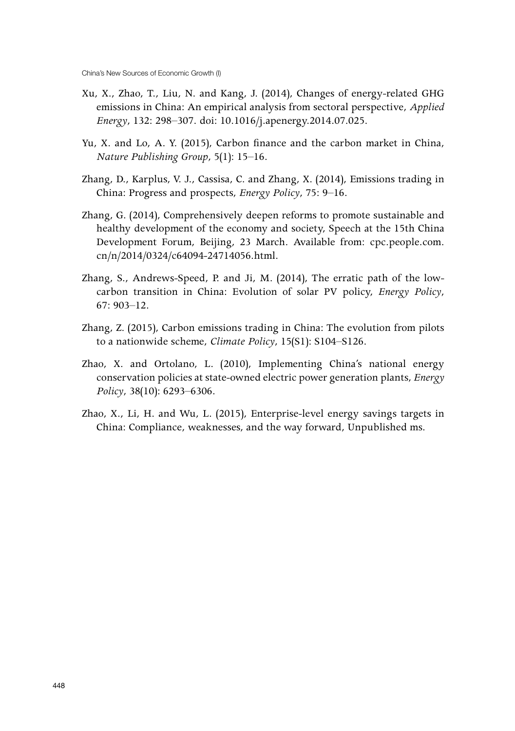- Xu, X., Zhao, T., Liu, N. and Kang, J. (2014), Changes of energy-related GHG emissions in China: An empirical analysis from sectoral perspective, *Applied Energy*, 132: 298–307. doi: 10.1016/j.apenergy.2014.07.025.
- Yu, X. and Lo, A. Y. (2015), Carbon finance and the carbon market in China, *Nature Publishing Group*, 5(1): 15–16.
- Zhang, D., Karplus, V. J., Cassisa, C. and Zhang, X. (2014), Emissions trading in China: Progress and prospects, *Energy Policy*, 75: 9–16.
- Zhang, G. (2014), Comprehensively deepen reforms to promote sustainable and healthy development of the economy and society, Speech at the 15th China Development Forum, Beijing, 23 March. Available from: [cpc.people.com.](http://cpc.people.com.cn/n/2014/0324/c64094-24714056.html) [cn/n/2014/0324/c64094-24714056.html](http://cpc.people.com.cn/n/2014/0324/c64094-24714056.html).
- Zhang, S., Andrews-Speed, P. and Ji, M. (2014), The erratic path of the lowcarbon transition in China: Evolution of solar PV policy, *Energy Policy*, 67: 903–12.
- Zhang, Z. (2015), Carbon emissions trading in China: The evolution from pilots to a nationwide scheme, *Climate Policy*, 15(S1): S104–S126.
- Zhao, X. and Ortolano, L. (2010), Implementing China's national energy conservation policies at state-owned electric power generation plants, *Energy Policy*, 38(10): 6293–6306.
- Zhao, X., Li, H. and Wu, L. (2015), Enterprise-level energy savings targets in China: Compliance, weaknesses, and the way forward, Unpublished ms.